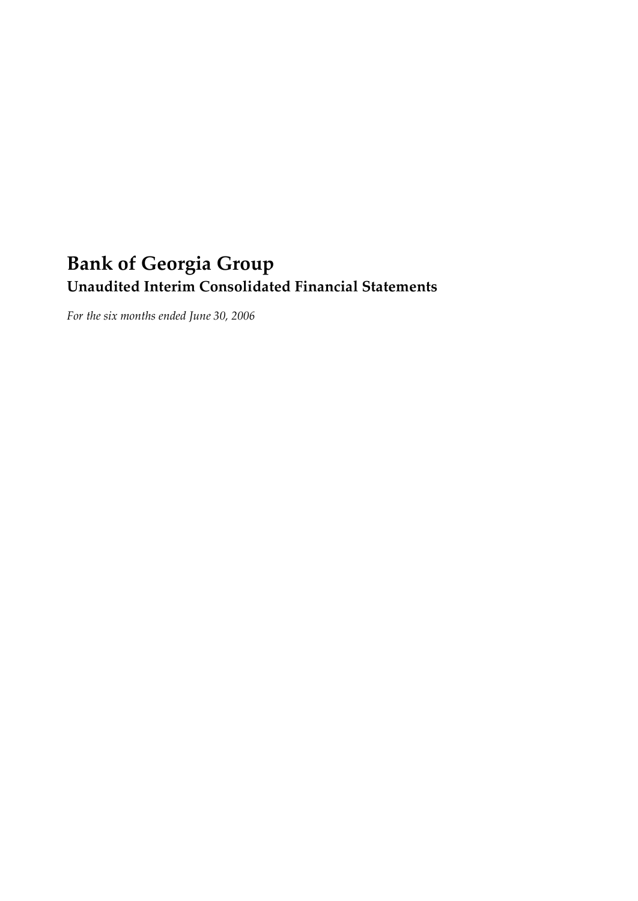# **Bank of Georgia Group Unaudited Interim Consolidated Financial Statements**

*For the six months ended June 30, 2006*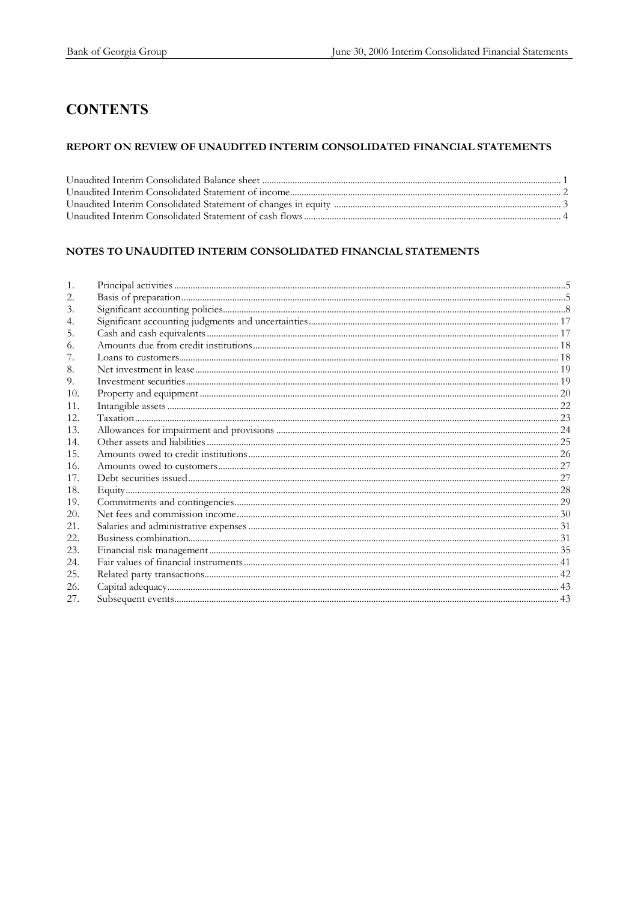# **CONTENTS**

### REPORT ON REVIEW OF UNAUDITED INTERIM CONSOLIDATED FINANCIAL STATEMENTS

### NOTES TO UNAUDITED INTERIM CONSOLIDATED FINANCIAL STATEMENTS

| 2.  |  |
|-----|--|
| 3.  |  |
| 4.  |  |
| 5.  |  |
| 6.  |  |
|     |  |
| 8.  |  |
| 9.  |  |
| 10. |  |
| 11. |  |
| 12. |  |
| 13. |  |
| 14. |  |
| 15. |  |
| 16. |  |
| 17. |  |
| 18. |  |
| 19. |  |
| 20. |  |
| 21. |  |
| 22. |  |
| 23. |  |
| 24. |  |
| 25. |  |
| 26. |  |
| 27. |  |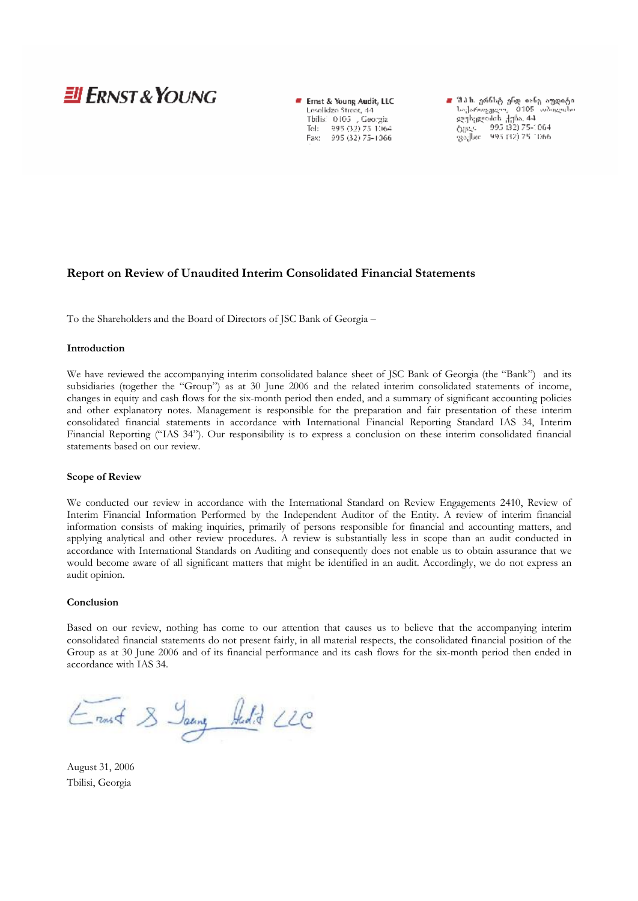# **JI ERNST & YOUNG**

Ernst & Young Audit, LLC Leselidze Street, 44 Tbilis: 0105 , Georgia Tel: 995 (32) 75-1064<br>Fax: 995 (32) 75-1066

■ შ.ა.ს. ერნსტ ენდ იანე აუდიტი<br>- საქართვვდუ, - 0105 საბილისი<br>- ლესელიძის ქუნა, 44<br>- ტვდ. - - 995-132) 75-1064<br>- ფაქსი - 995-132) 75-1066

### **Report on Review of Unaudited Interim Consolidated Financial Statements**

To the Shareholders and the Board of Directors of JSC Bank of Georgia –

#### **Introduction**

We have reviewed the accompanying interim consolidated balance sheet of JSC Bank of Georgia (the "Bank") and its subsidiaries (together the "Group") as at 30 June 2006 and the related interim consolidated statements of income, changes in equity and cash flows for the six-month period then ended, and a summary of significant accounting policies and other explanatory notes. Management is responsible for the preparation and fair presentation of these interim consolidated financial statements in accordance with International Financial Reporting Standard IAS 34, Interim Financial Reporting ("IAS 34"). Our responsibility is to express a conclusion on these interim consolidated financial statements based on our review.

#### **Scope of Review**

We conducted our review in accordance with the International Standard on Review Engagements 2410, Review of Interim Financial Information Performed by the Independent Auditor of the Entity. A review of interim financial information consists of making inquiries, primarily of persons responsible for financial and accounting matters, and applying analytical and other review procedures. A review is substantially less in scope than an audit conducted in accordance with International Standards on Auditing and consequently does not enable us to obtain assurance that we would become aware of all significant matters that might be identified in an audit. Accordingly, we do not express an audit opinion.

#### **Conclusion**

Based on our review, nothing has come to our attention that causes us to believe that the accompanying interim consolidated financial statements do not present fairly, in all material respects, the consolidated financial position of the Group as at 30 June 2006 and of its financial performance and its cash flows for the six-month period then ended in accordance with IAS 34.

Ernst & Jaung Hudit LLC

August 31, 2006 Tbilisi, Georgia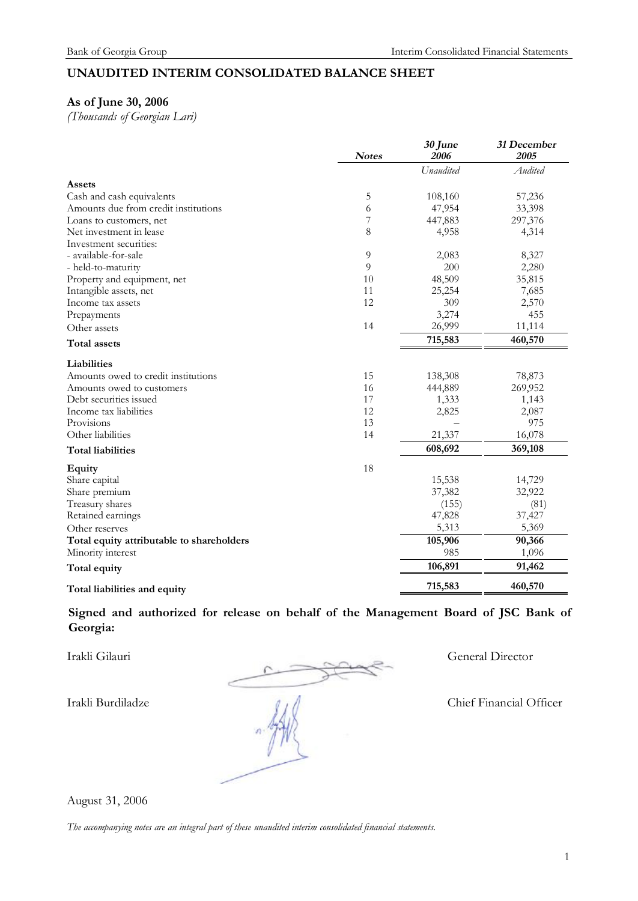### **UNAUDITED INTERIM CONSOLIDATED BALANCE SHEET**

### **As of June 30, 2006**

*(Thousands of Georgian Lari)* 

|                                           | <b>Notes</b>   | 30 June<br>2006 | 31 December<br>2005 |
|-------------------------------------------|----------------|-----------------|---------------------|
|                                           |                | Unaudited       | Audited             |
| Assets                                    |                |                 |                     |
| Cash and cash equivalents                 | 5              | 108,160         | 57,236              |
| Amounts due from credit institutions      | 6              | 47,954          | 33,398              |
| Loans to customers, net                   | 7              | 447,883         | 297,376             |
| Net investment in lease                   | 8              | 4,958           | 4,314               |
| Investment securities:                    |                |                 |                     |
| - available-for-sale                      | $\overline{9}$ | 2,083           | 8,327               |
| - held-to-maturity                        | 9              | 200             | 2,280               |
| Property and equipment, net               | 10             | 48,509          | 35,815              |
| Intangible assets, net                    | 11             | 25,254          | 7,685               |
| Income tax assets                         | 12             | 309             | 2,570               |
| Prepayments                               |                | 3,274           | 455                 |
| Other assets                              | 14             | 26,999          | 11,114              |
| <b>Total assets</b>                       |                | 715,583         | 460,570             |
| Liabilities                               |                |                 |                     |
| Amounts owed to credit institutions       | 15             | 138,308         | 78,873              |
| Amounts owed to customers                 | 16             | 444,889         | 269,952             |
| Debt securities issued                    | 17             | 1,333           | 1,143               |
| Income tax liabilities                    | 12             | 2,825           | 2,087               |
| Provisions                                | 13             |                 | 975                 |
| Other liabilities                         | 14             | 21,337          | 16,078              |
| <b>Total liabilities</b>                  |                | 608,692         | 369,108             |
| Equity                                    | 18             |                 |                     |
| Share capital                             |                | 15,538          | 14,729              |
| Share premium                             |                | 37,382          | 32,922              |
| Treasury shares                           |                | (155)           | (81)                |
| Retained earnings                         |                | 47,828          | 37,427              |
| Other reserves                            |                | 5,313           | 5,369               |
| Total equity attributable to shareholders |                | 105,906         | 90,366              |
| Minority interest                         |                | 985             | 1,096               |
| Total equity                              |                | 106,891         | 91,462              |
| Total liabilities and equity              |                | 715,583         | 460,570             |

**Signed and authorized for release on behalf of the Management Board of JSC Bank of Georgia:** 

Irakli Gilauri General Director Irakli Burdiladze Chief Financial Officer

August 31, 2006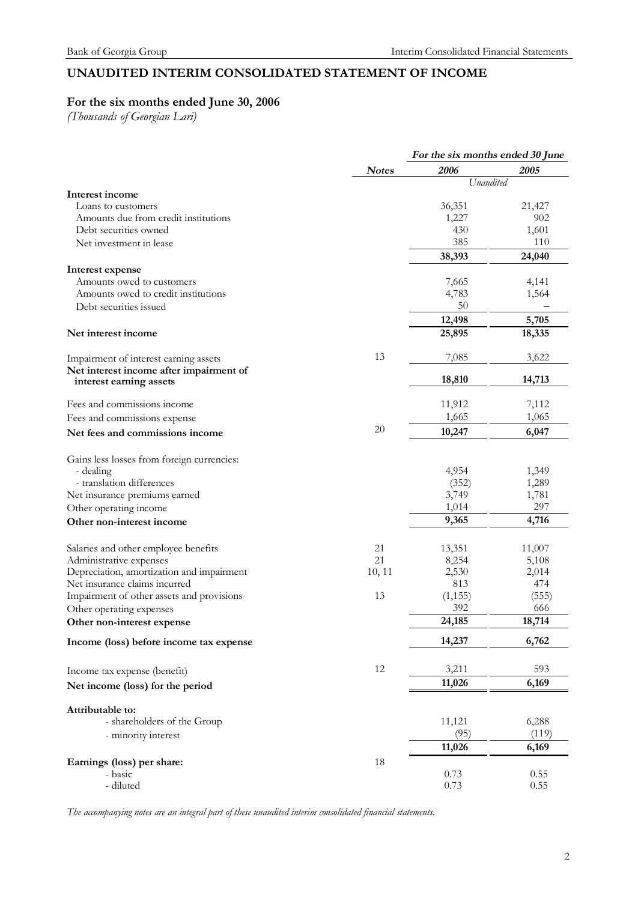# **UNAUDITED INTERIM CONSOLIDATED STATEMENT OF INCOME**

# **For the six months ended June 30, 2006**

*(Thousands of Georgian Lari)* 

|              | For the six months ended 30 June |                                                                                                                                                                                                                |  |
|--------------|----------------------------------|----------------------------------------------------------------------------------------------------------------------------------------------------------------------------------------------------------------|--|
| <b>Notes</b> | 2006                             | 2005                                                                                                                                                                                                           |  |
|              |                                  |                                                                                                                                                                                                                |  |
|              |                                  | 21,427                                                                                                                                                                                                         |  |
|              |                                  | 902                                                                                                                                                                                                            |  |
|              |                                  | 1,601                                                                                                                                                                                                          |  |
|              |                                  | 110                                                                                                                                                                                                            |  |
|              |                                  | 24,040                                                                                                                                                                                                         |  |
|              |                                  |                                                                                                                                                                                                                |  |
|              | 7,665                            | 4,141                                                                                                                                                                                                          |  |
|              | 4,783                            | 1,564                                                                                                                                                                                                          |  |
|              | 50                               |                                                                                                                                                                                                                |  |
|              |                                  | 5,705                                                                                                                                                                                                          |  |
|              | 25,895                           | 18,335                                                                                                                                                                                                         |  |
| 13           | 7,085                            | 3,622                                                                                                                                                                                                          |  |
|              |                                  |                                                                                                                                                                                                                |  |
|              |                                  | 14,713                                                                                                                                                                                                         |  |
|              | 11,912                           | 7,112                                                                                                                                                                                                          |  |
|              | 1,665                            | 1,065                                                                                                                                                                                                          |  |
| 20           | 10,247                           | 6,047                                                                                                                                                                                                          |  |
|              |                                  |                                                                                                                                                                                                                |  |
|              |                                  | 1,349                                                                                                                                                                                                          |  |
|              |                                  | 1,289                                                                                                                                                                                                          |  |
|              |                                  | 1,781                                                                                                                                                                                                          |  |
|              |                                  | 297                                                                                                                                                                                                            |  |
|              |                                  | 4,716                                                                                                                                                                                                          |  |
|              |                                  |                                                                                                                                                                                                                |  |
| 21           | 13,351                           | 11,007                                                                                                                                                                                                         |  |
| 21           | 8,254                            | 5,108                                                                                                                                                                                                          |  |
| 10, 11       | 2,530                            | 2,014                                                                                                                                                                                                          |  |
|              |                                  | 474                                                                                                                                                                                                            |  |
|              |                                  | (555)                                                                                                                                                                                                          |  |
|              |                                  | 666                                                                                                                                                                                                            |  |
|              |                                  | 18,714                                                                                                                                                                                                         |  |
|              | 14,237                           | 6,762                                                                                                                                                                                                          |  |
| 12           |                                  | 593                                                                                                                                                                                                            |  |
|              | 11,026                           | 6,169                                                                                                                                                                                                          |  |
|              |                                  |                                                                                                                                                                                                                |  |
|              |                                  | 6,288                                                                                                                                                                                                          |  |
|              |                                  | (119)                                                                                                                                                                                                          |  |
|              |                                  |                                                                                                                                                                                                                |  |
|              |                                  | 6,169                                                                                                                                                                                                          |  |
|              |                                  | 0.55                                                                                                                                                                                                           |  |
|              |                                  | 0.55                                                                                                                                                                                                           |  |
|              | 13<br>18                         | Unaudited<br>36,351<br>1,227<br>430<br>385<br>38,393<br>12,498<br>18,810<br>4,954<br>(352)<br>3,749<br>1,014<br>9,365<br>813<br>(1, 155)<br>392<br>24,185<br>3,211<br>11,121<br>(95)<br>11,026<br>0.73<br>0.73 |  |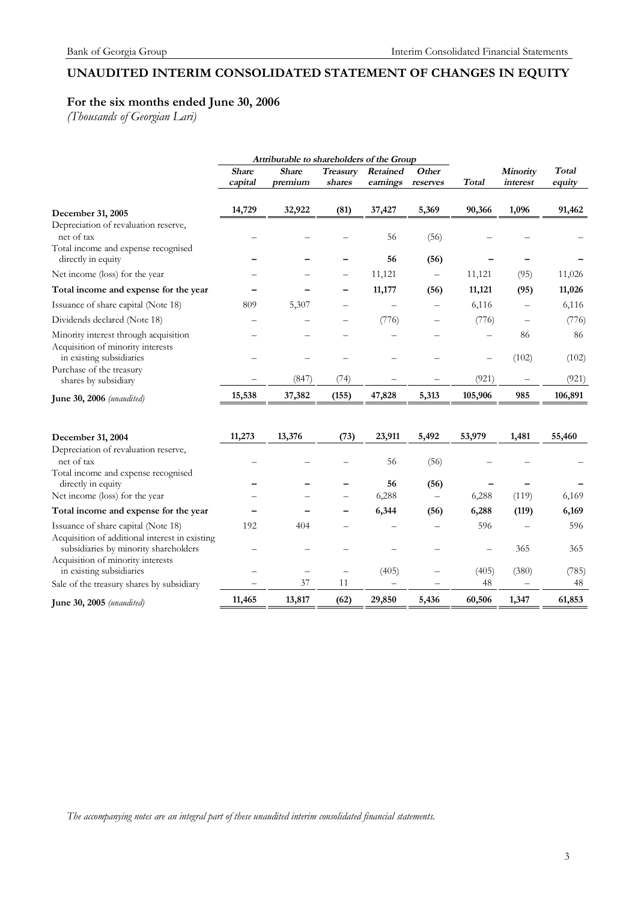# **UNAUDITED INTERIM CONSOLIDATED STATEMENT OF CHANGES IN EQUITY**

# **For the six months ended June 30, 2006**

*(Thousands of Georgian Lari)* 

|                                                                                         | Attributable to shareholders of the Group |                                 |                    |                          |                   |              |                          |                        |
|-----------------------------------------------------------------------------------------|-------------------------------------------|---------------------------------|--------------------|--------------------------|-------------------|--------------|--------------------------|------------------------|
|                                                                                         | <b>Share</b><br>capital                   | <b>Share</b><br>premium         | Treasury<br>shares | Retained<br>earnings     | Other<br>reserves | <b>Total</b> | Minority<br>interest     | <b>Total</b><br>equity |
| December 31, 2005                                                                       | 14,729                                    | 32,922                          | (81)               | 37,427                   | 5,369             | 90,366       | 1,096                    | 91,462                 |
| Depreciation of revaluation reserve,<br>net of tax                                      |                                           |                                 |                    | 56                       | (56)              |              |                          |                        |
| Total income and expense recognised<br>directly in equity                               |                                           |                                 |                    | 56                       | (56)              |              |                          |                        |
| Net income (loss) for the year                                                          |                                           |                                 |                    | 11,121                   |                   | 11,121       | (95)                     | 11,026                 |
| Total income and expense for the year                                                   |                                           |                                 |                    | 11,177                   | (56)              | 11,121       | (95)                     | 11,026                 |
| Issuance of share capital (Note 18)                                                     | 809                                       | 5,307                           |                    |                          |                   | 6,116        |                          | 6,116                  |
| Dividends declared (Note 18)                                                            |                                           |                                 |                    | (776)                    |                   | (776)        |                          | (776)                  |
| Minority interest through acquisition<br>Acquisition of minority interests              |                                           |                                 |                    |                          |                   |              | 86                       | 86                     |
| in existing subsidiaries                                                                |                                           |                                 |                    |                          |                   |              | (102)                    | (102)                  |
| Purchase of the treasury<br>shares by subsidiary                                        |                                           | (847)                           | (74)               |                          |                   | (921)        |                          | (921)                  |
| <b>June 30, 2006</b> ( <i>unaudited</i> )                                               | 15,538                                    | 37,382                          | (155)              | 47,828                   | 5,313             | 105,906      | 985                      | 106,891                |
|                                                                                         | 11,273                                    | 13,376                          | (73)               | 23,911                   | 5,492             | 53,979       | 1,481                    | 55,460                 |
| December 31, 2004<br>Depreciation of revaluation reserve,                               |                                           |                                 |                    |                          |                   |              |                          |                        |
| net of tax                                                                              |                                           |                                 |                    | 56                       | (56)              |              |                          |                        |
| Total income and expense recognised                                                     |                                           |                                 |                    |                          |                   |              |                          |                        |
| directly in equity<br>Net income (loss) for the year                                    |                                           |                                 |                    | 56<br>6,288              | (56)              | 6,288        | (119)                    | 6,169                  |
| Total income and expense for the year                                                   |                                           |                                 |                    | 6,344                    | (56)              | 6,288        | (119)                    | 6,169                  |
| Issuance of share capital (Note 18)                                                     | 192                                       | 404                             |                    |                          |                   | 596          |                          | 596                    |
| Acquisition of additional interest in existing<br>subsidiaries by minority shareholders |                                           |                                 |                    |                          |                   |              | 365                      | 365                    |
| Acquisition of minority interests<br>in existing subsidiaries                           |                                           | $\overbrace{\phantom{1232211}}$ | $\qquad \qquad -$  | (405)                    |                   | (405)        | (380)                    | (785)                  |
| Sale of the treasury shares by subsidiary                                               |                                           | 37                              | 11                 | $\overline{\phantom{0}}$ |                   | 48           | $\overline{\phantom{0}}$ | 48                     |
| June 30, 2005 (unaudited)                                                               | 11,465                                    | 13,817                          | (62)               | 29,850                   | 5,436             | 60,506       | 1,347                    | 61,853                 |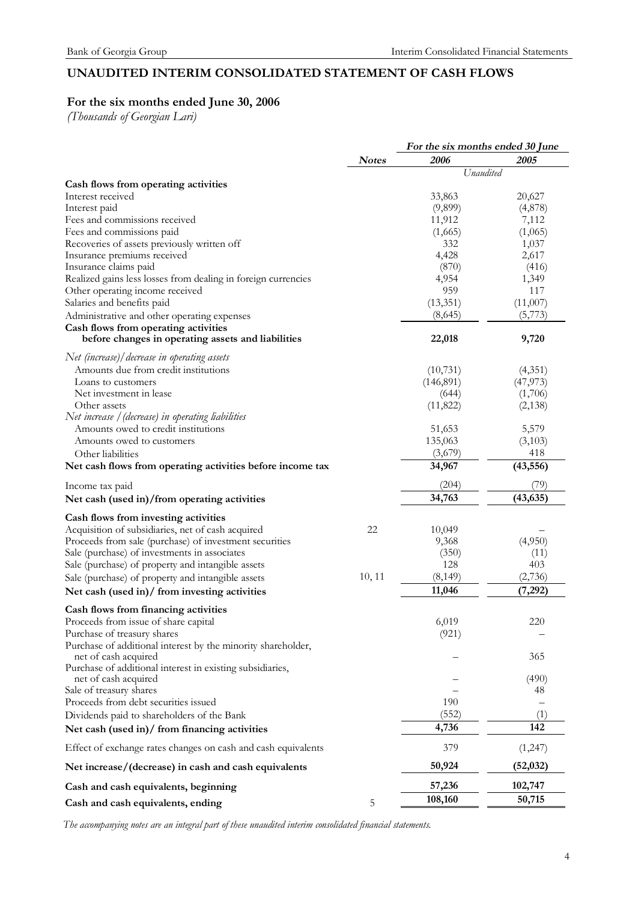# **UNAUDITED INTERIM CONSOLIDATED STATEMENT OF CASH FLOWS**

# **For the six months ended June 30, 2006**

*(Thousands of Georgian Lari)* 

|                                                                                   |              | For the six months ended 30 June |           |  |
|-----------------------------------------------------------------------------------|--------------|----------------------------------|-----------|--|
|                                                                                   | <b>Notes</b> | 2006                             | 2005      |  |
|                                                                                   |              | Unaudited                        |           |  |
| Cash flows from operating activities<br>Interest received                         |              | 33,863                           | 20,627    |  |
| Interest paid                                                                     |              |                                  |           |  |
|                                                                                   |              | (9,899)                          | (4,878)   |  |
| Fees and commissions received                                                     |              | 11,912                           | 7,112     |  |
| Fees and commissions paid                                                         |              | (1,665)                          | (1,065)   |  |
| Recoveries of assets previously written off                                       |              | 332                              | 1,037     |  |
| Insurance premiums received                                                       |              | 4,428                            | 2,617     |  |
| Insurance claims paid                                                             |              | (870)                            | (416)     |  |
| Realized gains less losses from dealing in foreign currencies                     |              | 4,954                            | 1,349     |  |
| Other operating income received                                                   |              | 959                              | 117       |  |
| Salaries and benefits paid                                                        |              | (13,351)                         | (11,007)  |  |
| Administrative and other operating expenses                                       |              | (8,645)                          | (5,773)   |  |
| Cash flows from operating activities                                              |              |                                  |           |  |
| before changes in operating assets and liabilities                                |              | 22,018                           | 9,720     |  |
| Net (increase)/ decrease in operating assets                                      |              |                                  |           |  |
| Amounts due from credit institutions                                              |              | (10,731)                         | (4,351)   |  |
| Loans to customers                                                                |              | (146, 891)                       | (47, 973) |  |
| Net investment in lease                                                           |              | (644)                            | (1,706)   |  |
| Other assets                                                                      |              | (11, 822)                        | (2,138)   |  |
| Net increase / (decrease) in operating liabilities                                |              |                                  |           |  |
| Amounts owed to credit institutions                                               |              | 51,653                           | 5,579     |  |
| Amounts owed to customers                                                         |              | 135,063                          | (3,103)   |  |
| Other liabilities                                                                 |              | (3,679)                          | 418       |  |
| Net cash flows from operating activities before income tax                        |              | 34,967                           | (43, 556) |  |
|                                                                                   |              |                                  |           |  |
| Income tax paid                                                                   |              | (204)                            | (79)      |  |
| Net cash (used in)/from operating activities                                      |              | 34,763                           | (43, 635) |  |
| Cash flows from investing activities                                              |              |                                  |           |  |
| Acquisition of subsidiaries, net of cash acquired                                 | 22           | 10,049                           |           |  |
| Proceeds from sale (purchase) of investment securities                            |              | 9,368                            | (4,950)   |  |
| Sale (purchase) of investments in associates                                      |              | (350)                            | (11)      |  |
| Sale (purchase) of property and intangible assets                                 |              | 128                              | 403       |  |
| Sale (purchase) of property and intangible assets                                 | 10, 11       | (8, 149)                         | (2,736)   |  |
|                                                                                   |              | 11,046                           | (7, 292)  |  |
| Net cash (used in)/ from investing activities                                     |              |                                  |           |  |
| Cash flows from financing activities                                              |              |                                  |           |  |
| Proceeds from issue of share capital                                              |              | 6,019                            | 220       |  |
| Purchase of treasury shares                                                       |              | (921)                            |           |  |
| Purchase of additional interest by the minority shareholder,                      |              |                                  |           |  |
| net of cash acquired<br>Purchase of additional interest in existing subsidiaries, |              |                                  | 365       |  |
| net of cash acquired                                                              |              |                                  | (490)     |  |
| Sale of treasury shares                                                           |              |                                  | 48        |  |
| Proceeds from debt securities issued                                              |              | 190                              |           |  |
| Dividends paid to shareholders of the Bank                                        |              | (552)                            | (1)       |  |
| Net cash (used in)/ from financing activities                                     |              | 4,736                            | 142       |  |
| Effect of exchange rates changes on cash and cash equivalents                     |              | 379                              | (1,247)   |  |
| Net increase/(decrease) in cash and cash equivalents                              |              | 50,924                           | (52, 032) |  |
| Cash and cash equivalents, beginning                                              |              | 57,236                           | 102,747   |  |
| Cash and cash equivalents, ending                                                 | 5            | 108,160                          | 50,715    |  |
|                                                                                   |              |                                  |           |  |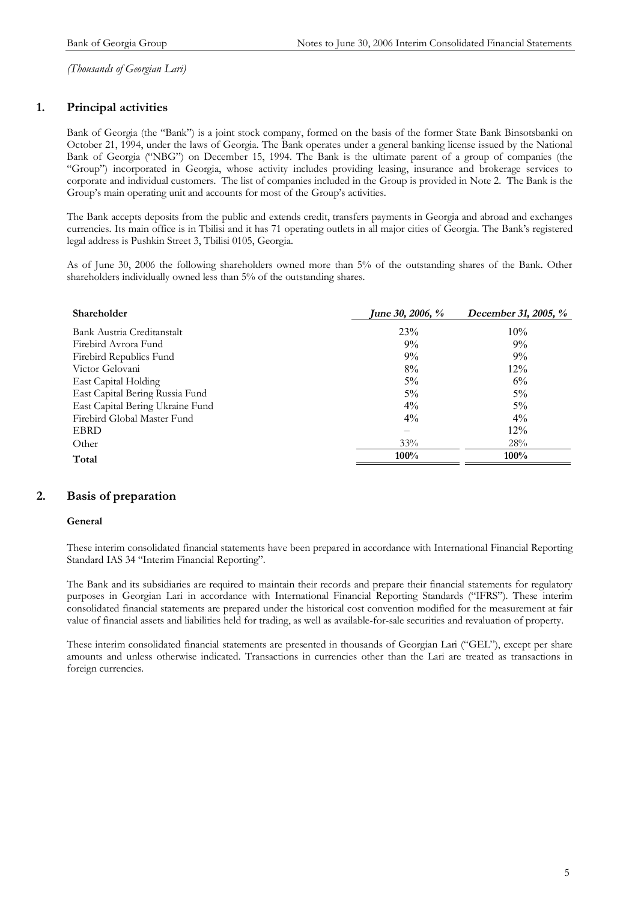### **1. Principal activities**

Bank of Georgia (the "Bank") is a joint stock company, formed on the basis of the former State Bank Binsotsbanki on October 21, 1994, under the laws of Georgia. The Bank operates under a general banking license issued by the National Bank of Georgia ("NBG") on December 15, 1994. The Bank is the ultimate parent of a group of companies (the "Group") incorporated in Georgia, whose activity includes providing leasing, insurance and brokerage services to corporate and individual customers. The list of companies included in the Group is provided in Note 2. The Bank is the Group's main operating unit and accounts for most of the Group's activities.

The Bank accepts deposits from the public and extends credit, transfers payments in Georgia and abroad and exchanges currencies. Its main office is in Tbilisi and it has 71 operating outlets in all major cities of Georgia. The Bank's registered legal address is Pushkin Street 3, Tbilisi 0105, Georgia.

As of June 30, 2006 the following shareholders owned more than 5% of the outstanding shares of the Bank. Other shareholders individually owned less than 5% of the outstanding shares.

| <b>Shareholder</b>               | <b>June 30, 2006, %</b> | December 31, 2005, % |
|----------------------------------|-------------------------|----------------------|
| Bank Austria Creditanstalt       | 23%                     | 10%                  |
| Firebird Avrora Fund             | 9%                      | 9%                   |
| Firebird Republics Fund          | 9%                      | 9%                   |
| Victor Gelovani                  | 8%                      | 12%                  |
| East Capital Holding             | $5\%$                   | 6%                   |
| East Capital Bering Russia Fund  | $5\%$                   | 5%                   |
| East Capital Bering Ukraine Fund | $4\%$                   | 5%                   |
| Firebird Global Master Fund      | $4\%$                   | $4\%$                |
| <b>EBRD</b>                      |                         | 12%                  |
| Other                            | 33%                     | 28%                  |
| Total                            | 100%                    | $100\%$              |

### **2. Basis of preparation**

#### **General**

These interim consolidated financial statements have been prepared in accordance with International Financial Reporting Standard IAS 34 "Interim Financial Reporting".

The Bank and its subsidiaries are required to maintain their records and prepare their financial statements for regulatory purposes in Georgian Lari in accordance with International Financial Reporting Standards ("IFRS"). These interim consolidated financial statements are prepared under the historical cost convention modified for the measurement at fair value of financial assets and liabilities held for trading, as well as available-for-sale securities and revaluation of property.

These interim consolidated financial statements are presented in thousands of Georgian Lari ("GEL"), except per share amounts and unless otherwise indicated. Transactions in currencies other than the Lari are treated as transactions in foreign currencies.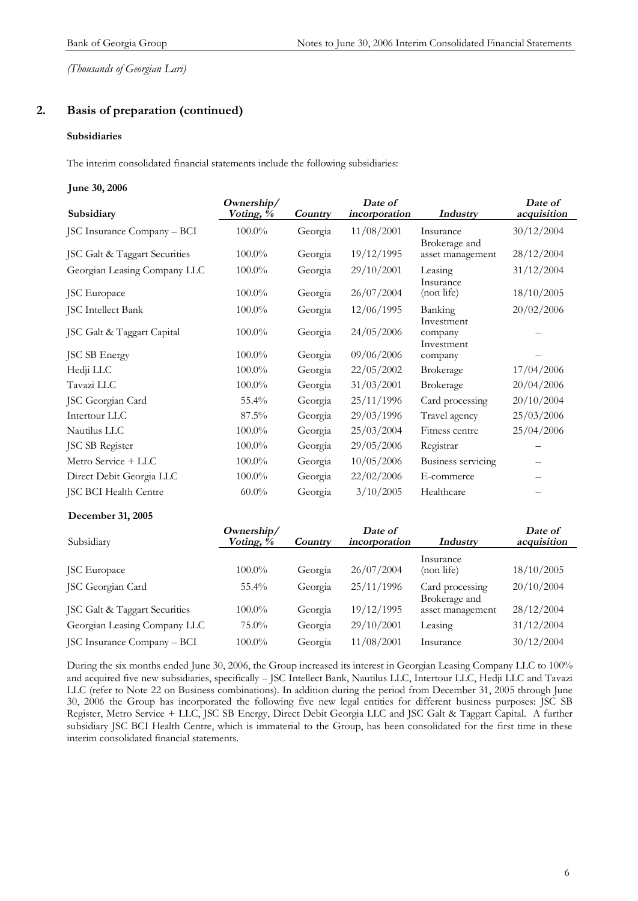### **2. Basis of preparation (continued)**

#### **Subsidiaries**

The interim consolidated financial statements include the following subsidiaries:

#### **June 30, 2006**

| Subsidiary                    | Ownership/<br>Voting, % | Country | Date of<br>incorporation | Industry                            | Date of<br>acquisition |
|-------------------------------|-------------------------|---------|--------------------------|-------------------------------------|------------------------|
| JSC Insurance Company - BCI   | $100.0\%$               | Georgia | 11/08/2001               | Insurance                           | 30/12/2004             |
| JSC Galt & Taggart Securities | 100.0%                  | Georgia | 19/12/1995               | Brokerage and<br>asset management   | 28/12/2004             |
| Georgian Leasing Company LLC  | $100.0\%$               | Georgia | 29/10/2001               | Leasing                             | 31/12/2004             |
| <b>JSC</b> Europace           | $100.0\%$               | Georgia | 26/07/2004               | Insurance<br>(non life)             | 18/10/2005             |
| JSC Intellect Bank            | 100.0%                  | Georgia | 12/06/1995               | Banking                             | 20/02/2006             |
| JSC Galt & Taggart Capital    | 100.0%                  | Georgia | 24/05/2006               | Investment<br>company<br>Investment |                        |
| JSC SB Energy                 | $100.0\%$               | Georgia | 09/06/2006               | company                             |                        |
| Hedji LLC                     | $100.0\%$               | Georgia | 22/05/2002               | Brokerage                           | 17/04/2006             |
| Tavazi LLC                    | $100.0\%$               | Georgia | 31/03/2001               | <b>Brokerage</b>                    | 20/04/2006             |
| JSC Georgian Card             | 55.4%                   | Georgia | 25/11/1996               | Card processing                     | 20/10/2004             |
| Intertour LLC                 | 87.5%                   | Georgia | 29/03/1996               | Travel agency                       | 25/03/2006             |
| Nautilus LLC                  | 100.0%                  | Georgia | 25/03/2004               | Fitness centre                      | 25/04/2006             |
| JSC SB Register               | 100.0%                  | Georgia | 29/05/2006               | Registrar                           |                        |
| Metro Service + LLC           | $100.0\%$               | Georgia | 10/05/2006               | Business servicing                  |                        |
| Direct Debit Georgia LLC      | 100.0%                  | Georgia | 22/02/2006               | E-commerce                          |                        |
| JSC BCI Health Centre         | $60.0\%$                | Georgia | 3/10/2005                | Healthcare                          |                        |

#### **December 31, 2005**

| Subsidiary                    | Ownership/<br>Voting, $\%$ | Country | Date of<br>incorporation | Industry                         | Date of<br>acquisition |
|-------------------------------|----------------------------|---------|--------------------------|----------------------------------|------------------------|
| JSC Europace                  | $100.0\%$                  | Georgia | 26/07/2004               | Insurance<br>(non life)          | 18/10/2005             |
| JSC Georgian Card             | $55.4\%$                   | Georgia | 25/11/1996               | Card processing<br>Brokerage and | 20/10/2004             |
| JSC Galt & Taggart Securities | $100.0\%$                  | Georgia | 19/12/1995               | asset management                 | 28/12/2004             |
| Georgian Leasing Company LLC  | $75.0\%$                   | Georgia | 29/10/2001               | Leasing                          | 31/12/2004             |
| JSC Insurance Company - BCI   | $100.0\%$                  | Georgia | 11/08/2001               | Insurance                        | 30/12/2004             |

During the six months ended June 30, 2006, the Group increased its interest in Georgian Leasing Company LLC to 100% and acquired five new subsidiaries, specifically – JSC Intellect Bank, Nautilus LLC, Intertour LLC, Hedji LLC and Tavazi LLC (refer to Note 22 on Business combinations). In addition during the period from December 31, 2005 through June 30, 2006 the Group has incorporated the following five new legal entities for different business purposes: JSC SB Register, Metro Service + LLC, JSC SB Energy, Direct Debit Georgia LLC and JSC Galt & Taggart Capital. A further subsidiary JSC BCI Health Centre, which is immaterial to the Group, has been consolidated for the first time in these interim consolidated financial statements.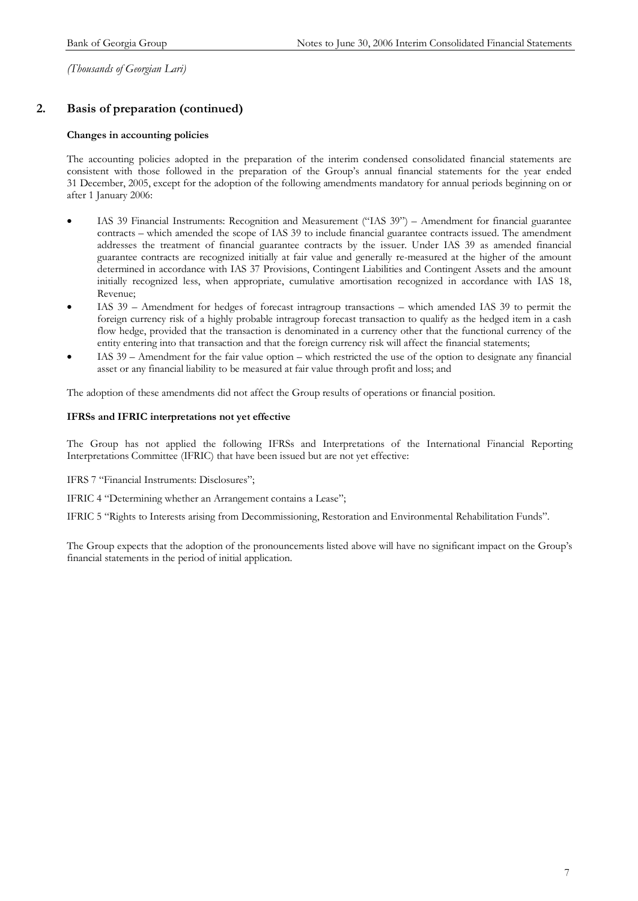### **2. Basis of preparation (continued)**

#### **Changes in accounting policies**

The accounting policies adopted in the preparation of the interim condensed consolidated financial statements are consistent with those followed in the preparation of the Group's annual financial statements for the year ended 31 December, 2005, except for the adoption of the following amendments mandatory for annual periods beginning on or after 1 January 2006:

- IAS 39 Financial Instruments: Recognition and Measurement ("IAS 39") Amendment for financial guarantee contracts – which amended the scope of IAS 39 to include financial guarantee contracts issued. The amendment addresses the treatment of financial guarantee contracts by the issuer. Under IAS 39 as amended financial guarantee contracts are recognized initially at fair value and generally re-measured at the higher of the amount determined in accordance with IAS 37 Provisions, Contingent Liabilities and Contingent Assets and the amount initially recognized less, when appropriate, cumulative amortisation recognized in accordance with IAS 18, Revenue;
- IAS 39 Amendment for hedges of forecast intragroup transactions which amended IAS 39 to permit the foreign currency risk of a highly probable intragroup forecast transaction to qualify as the hedged item in a cash flow hedge, provided that the transaction is denominated in a currency other that the functional currency of the entity entering into that transaction and that the foreign currency risk will affect the financial statements;
- IAS 39 Amendment for the fair value option which restricted the use of the option to designate any financial asset or any financial liability to be measured at fair value through profit and loss; and

The adoption of these amendments did not affect the Group results of operations or financial position.

#### **IFRSs and IFRIC interpretations not yet effective**

The Group has not applied the following IFRSs and Interpretations of the International Financial Reporting Interpretations Committee (IFRIC) that have been issued but are not yet effective:

IFRS 7 "Financial Instruments: Disclosures";

IFRIC 4 "Determining whether an Arrangement contains a Lease";

IFRIC 5 "Rights to Interests arising from Decommissioning, Restoration and Environmental Rehabilitation Funds".

The Group expects that the adoption of the pronouncements listed above will have no significant impact on the Group's financial statements in the period of initial application.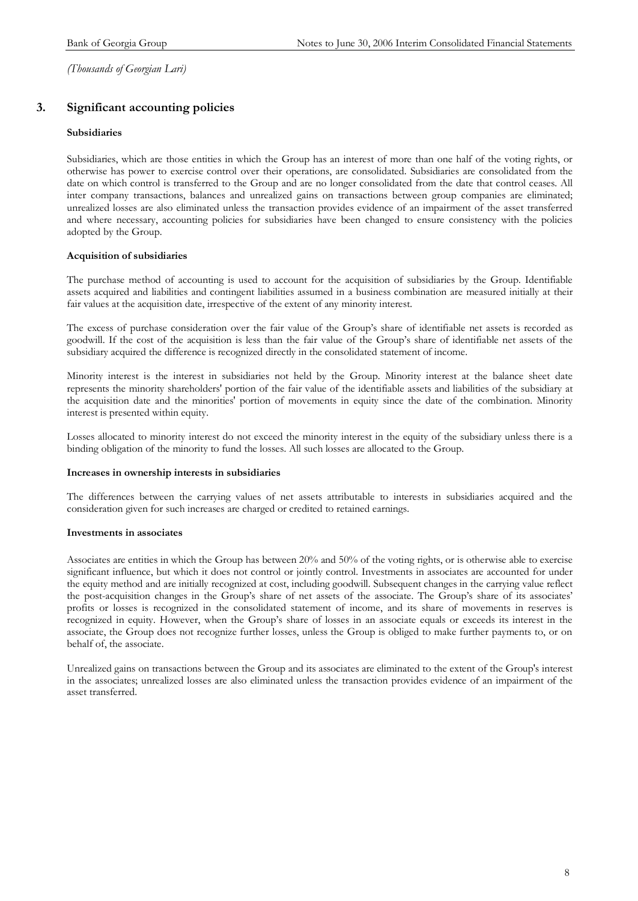### **3. Significant accounting policies**

#### **Subsidiaries**

Subsidiaries, which are those entities in which the Group has an interest of more than one half of the voting rights, or otherwise has power to exercise control over their operations, are consolidated. Subsidiaries are consolidated from the date on which control is transferred to the Group and are no longer consolidated from the date that control ceases. All inter company transactions, balances and unrealized gains on transactions between group companies are eliminated; unrealized losses are also eliminated unless the transaction provides evidence of an impairment of the asset transferred and where necessary, accounting policies for subsidiaries have been changed to ensure consistency with the policies adopted by the Group.

#### **Acquisition of subsidiaries**

The purchase method of accounting is used to account for the acquisition of subsidiaries by the Group. Identifiable assets acquired and liabilities and contingent liabilities assumed in a business combination are measured initially at their fair values at the acquisition date, irrespective of the extent of any minority interest.

The excess of purchase consideration over the fair value of the Group's share of identifiable net assets is recorded as goodwill. If the cost of the acquisition is less than the fair value of the Group's share of identifiable net assets of the subsidiary acquired the difference is recognized directly in the consolidated statement of income.

Minority interest is the interest in subsidiaries not held by the Group. Minority interest at the balance sheet date represents the minority shareholders' portion of the fair value of the identifiable assets and liabilities of the subsidiary at the acquisition date and the minorities' portion of movements in equity since the date of the combination. Minority interest is presented within equity.

Losses allocated to minority interest do not exceed the minority interest in the equity of the subsidiary unless there is a binding obligation of the minority to fund the losses. All such losses are allocated to the Group.

#### **Increases in ownership interests in subsidiaries**

The differences between the carrying values of net assets attributable to interests in subsidiaries acquired and the consideration given for such increases are charged or credited to retained earnings.

#### **Investments in associates**

Associates are entities in which the Group has between 20% and 50% of the voting rights, or is otherwise able to exercise significant influence, but which it does not control or jointly control. Investments in associates are accounted for under the equity method and are initially recognized at cost, including goodwill. Subsequent changes in the carrying value reflect the post-acquisition changes in the Group's share of net assets of the associate. The Group's share of its associates' profits or losses is recognized in the consolidated statement of income, and its share of movements in reserves is recognized in equity. However, when the Group's share of losses in an associate equals or exceeds its interest in the associate, the Group does not recognize further losses, unless the Group is obliged to make further payments to, or on behalf of, the associate.

Unrealized gains on transactions between the Group and its associates are eliminated to the extent of the Group's interest in the associates; unrealized losses are also eliminated unless the transaction provides evidence of an impairment of the asset transferred.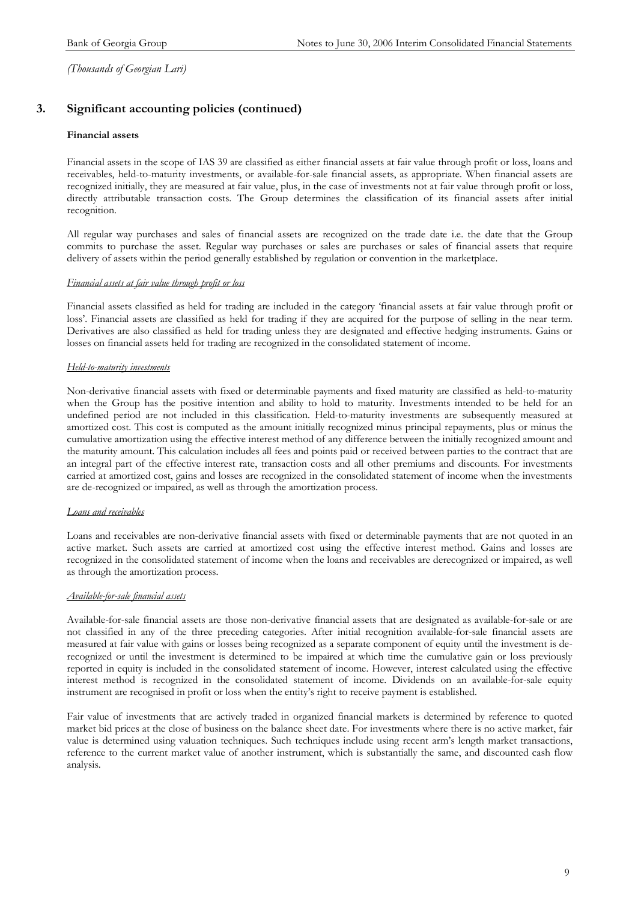### **3. Significant accounting policies (continued)**

#### **Financial assets**

Financial assets in the scope of IAS 39 are classified as either financial assets at fair value through profit or loss, loans and receivables, held-to-maturity investments, or available-for-sale financial assets, as appropriate. When financial assets are recognized initially, they are measured at fair value, plus, in the case of investments not at fair value through profit or loss, directly attributable transaction costs. The Group determines the classification of its financial assets after initial recognition.

All regular way purchases and sales of financial assets are recognized on the trade date i.e. the date that the Group commits to purchase the asset. Regular way purchases or sales are purchases or sales of financial assets that require delivery of assets within the period generally established by regulation or convention in the marketplace.

#### *Financial assets at fair value through profit or loss*

Financial assets classified as held for trading are included in the category 'financial assets at fair value through profit or loss'. Financial assets are classified as held for trading if they are acquired for the purpose of selling in the near term. Derivatives are also classified as held for trading unless they are designated and effective hedging instruments. Gains or losses on financial assets held for trading are recognized in the consolidated statement of income.

#### *Held-to-maturity investments*

Non-derivative financial assets with fixed or determinable payments and fixed maturity are classified as held-to-maturity when the Group has the positive intention and ability to hold to maturity. Investments intended to be held for an undefined period are not included in this classification. Held-to-maturity investments are subsequently measured at amortized cost. This cost is computed as the amount initially recognized minus principal repayments, plus or minus the cumulative amortization using the effective interest method of any difference between the initially recognized amount and the maturity amount. This calculation includes all fees and points paid or received between parties to the contract that are an integral part of the effective interest rate, transaction costs and all other premiums and discounts. For investments carried at amortized cost, gains and losses are recognized in the consolidated statement of income when the investments are de-recognized or impaired, as well as through the amortization process.

#### *Loans and receivables*

Loans and receivables are non-derivative financial assets with fixed or determinable payments that are not quoted in an active market. Such assets are carried at amortized cost using the effective interest method. Gains and losses are recognized in the consolidated statement of income when the loans and receivables are derecognized or impaired, as well as through the amortization process.

#### *Available-for-sale financial assets*

Available-for-sale financial assets are those non-derivative financial assets that are designated as available-for-sale or are not classified in any of the three preceding categories. After initial recognition available-for-sale financial assets are measured at fair value with gains or losses being recognized as a separate component of equity until the investment is derecognized or until the investment is determined to be impaired at which time the cumulative gain or loss previously reported in equity is included in the consolidated statement of income. However, interest calculated using the effective interest method is recognized in the consolidated statement of income. Dividends on an available-for-sale equity instrument are recognised in profit or loss when the entity's right to receive payment is established.

Fair value of investments that are actively traded in organized financial markets is determined by reference to quoted market bid prices at the close of business on the balance sheet date. For investments where there is no active market, fair value is determined using valuation techniques. Such techniques include using recent arm's length market transactions, reference to the current market value of another instrument, which is substantially the same, and discounted cash flow analysis.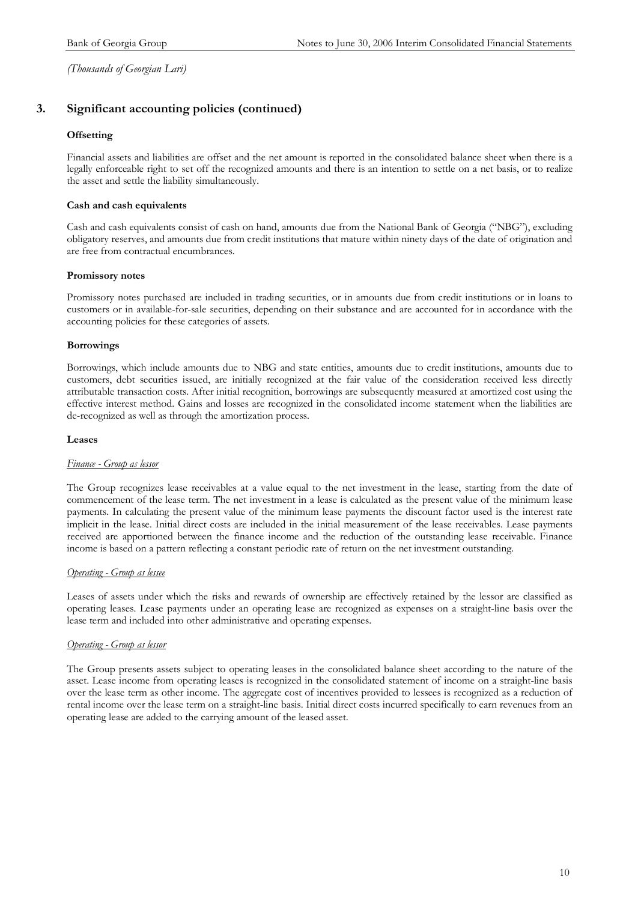### **3. Significant accounting policies (continued)**

#### **Offsetting**

Financial assets and liabilities are offset and the net amount is reported in the consolidated balance sheet when there is a legally enforceable right to set off the recognized amounts and there is an intention to settle on a net basis, or to realize the asset and settle the liability simultaneously.

#### **Cash and cash equivalents**

Cash and cash equivalents consist of cash on hand, amounts due from the National Bank of Georgia ("NBG"), excluding obligatory reserves, and amounts due from credit institutions that mature within ninety days of the date of origination and are free from contractual encumbrances.

#### **Promissory notes**

Promissory notes purchased are included in trading securities, or in amounts due from credit institutions or in loans to customers or in available-for-sale securities, depending on their substance and are accounted for in accordance with the accounting policies for these categories of assets.

#### **Borrowings**

Borrowings, which include amounts due to NBG and state entities, amounts due to credit institutions, amounts due to customers, debt securities issued, are initially recognized at the fair value of the consideration received less directly attributable transaction costs. After initial recognition, borrowings are subsequently measured at amortized cost using the effective interest method. Gains and losses are recognized in the consolidated income statement when the liabilities are de-recognized as well as through the amortization process.

#### **Leases**

#### *Finance - Group as lessor*

The Group recognizes lease receivables at a value equal to the net investment in the lease, starting from the date of commencement of the lease term. The net investment in a lease is calculated as the present value of the minimum lease payments. In calculating the present value of the minimum lease payments the discount factor used is the interest rate implicit in the lease. Initial direct costs are included in the initial measurement of the lease receivables. Lease payments received are apportioned between the finance income and the reduction of the outstanding lease receivable. Finance income is based on a pattern reflecting a constant periodic rate of return on the net investment outstanding.

#### *Operating - Group as lessee*

Leases of assets under which the risks and rewards of ownership are effectively retained by the lessor are classified as operating leases. Lease payments under an operating lease are recognized as expenses on a straight-line basis over the lease term and included into other administrative and operating expenses.

#### *Operating - Group as lessor*

The Group presents assets subject to operating leases in the consolidated balance sheet according to the nature of the asset. Lease income from operating leases is recognized in the consolidated statement of income on a straight-line basis over the lease term as other income. The aggregate cost of incentives provided to lessees is recognized as a reduction of rental income over the lease term on a straight-line basis. Initial direct costs incurred specifically to earn revenues from an operating lease are added to the carrying amount of the leased asset.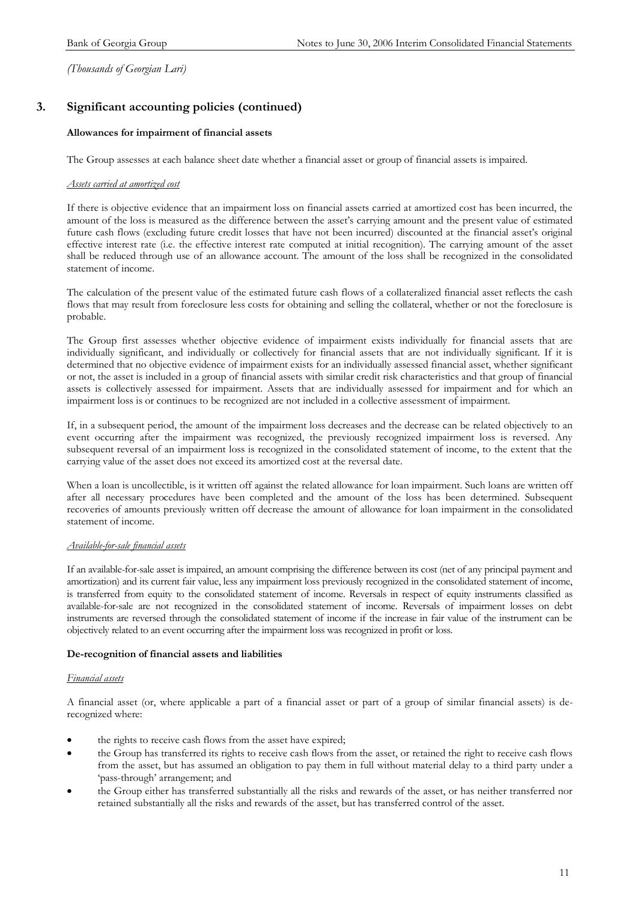### **3. Significant accounting policies (continued)**

#### **Allowances for impairment of financial assets**

The Group assesses at each balance sheet date whether a financial asset or group of financial assets is impaired.

#### *Assets carried at amortized cost*

If there is objective evidence that an impairment loss on financial assets carried at amortized cost has been incurred, the amount of the loss is measured as the difference between the asset's carrying amount and the present value of estimated future cash flows (excluding future credit losses that have not been incurred) discounted at the financial asset's original effective interest rate (i.e. the effective interest rate computed at initial recognition). The carrying amount of the asset shall be reduced through use of an allowance account. The amount of the loss shall be recognized in the consolidated statement of income.

The calculation of the present value of the estimated future cash flows of a collateralized financial asset reflects the cash flows that may result from foreclosure less costs for obtaining and selling the collateral, whether or not the foreclosure is probable.

The Group first assesses whether objective evidence of impairment exists individually for financial assets that are individually significant, and individually or collectively for financial assets that are not individually significant. If it is determined that no objective evidence of impairment exists for an individually assessed financial asset, whether significant or not, the asset is included in a group of financial assets with similar credit risk characteristics and that group of financial assets is collectively assessed for impairment. Assets that are individually assessed for impairment and for which an impairment loss is or continues to be recognized are not included in a collective assessment of impairment.

If, in a subsequent period, the amount of the impairment loss decreases and the decrease can be related objectively to an event occurring after the impairment was recognized, the previously recognized impairment loss is reversed. Any subsequent reversal of an impairment loss is recognized in the consolidated statement of income, to the extent that the carrying value of the asset does not exceed its amortized cost at the reversal date.

When a loan is uncollectible, is it written off against the related allowance for loan impairment. Such loans are written off after all necessary procedures have been completed and the amount of the loss has been determined. Subsequent recoveries of amounts previously written off decrease the amount of allowance for loan impairment in the consolidated statement of income.

#### *Available-for-sale financial assets*

If an available-for-sale asset is impaired, an amount comprising the difference between its cost (net of any principal payment and amortization) and its current fair value, less any impairment loss previously recognized in the consolidated statement of income, is transferred from equity to the consolidated statement of income. Reversals in respect of equity instruments classified as available-for-sale are not recognized in the consolidated statement of income. Reversals of impairment losses on debt instruments are reversed through the consolidated statement of income if the increase in fair value of the instrument can be objectively related to an event occurring after the impairment loss was recognized in profit or loss.

#### **De-recognition of financial assets and liabilities**

#### *Financial assets*

A financial asset (or, where applicable a part of a financial asset or part of a group of similar financial assets) is derecognized where:

- the rights to receive cash flows from the asset have expired;
- the Group has transferred its rights to receive cash flows from the asset, or retained the right to receive cash flows from the asset, but has assumed an obligation to pay them in full without material delay to a third party under a 'pass-through' arrangement; and
- the Group either has transferred substantially all the risks and rewards of the asset, or has neither transferred nor retained substantially all the risks and rewards of the asset, but has transferred control of the asset.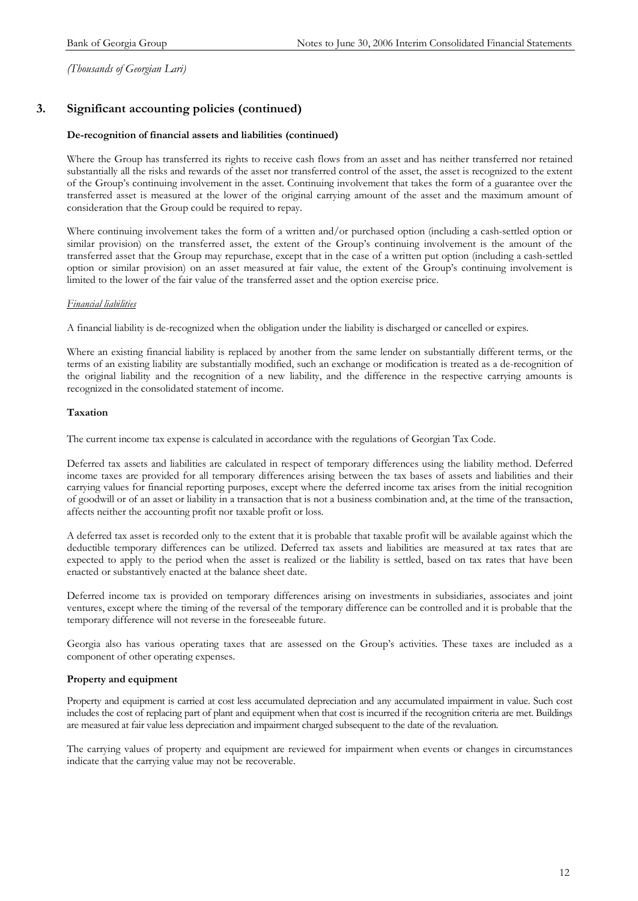### **3. Significant accounting policies (continued)**

#### **De-recognition of financial assets and liabilities (continued)**

Where the Group has transferred its rights to receive cash flows from an asset and has neither transferred nor retained substantially all the risks and rewards of the asset nor transferred control of the asset, the asset is recognized to the extent of the Group's continuing involvement in the asset. Continuing involvement that takes the form of a guarantee over the transferred asset is measured at the lower of the original carrying amount of the asset and the maximum amount of consideration that the Group could be required to repay.

Where continuing involvement takes the form of a written and/or purchased option (including a cash-settled option or similar provision) on the transferred asset, the extent of the Group's continuing involvement is the amount of the transferred asset that the Group may repurchase, except that in the case of a written put option (including a cash-settled option or similar provision) on an asset measured at fair value, the extent of the Group's continuing involvement is limited to the lower of the fair value of the transferred asset and the option exercise price.

#### *Financial liabilities*

A financial liability is de-recognized when the obligation under the liability is discharged or cancelled or expires.

Where an existing financial liability is replaced by another from the same lender on substantially different terms, or the terms of an existing liability are substantially modified, such an exchange or modification is treated as a de-recognition of the original liability and the recognition of a new liability, and the difference in the respective carrying amounts is recognized in the consolidated statement of income.

#### **Taxation**

The current income tax expense is calculated in accordance with the regulations of Georgian Tax Code.

Deferred tax assets and liabilities are calculated in respect of temporary differences using the liability method. Deferred income taxes are provided for all temporary differences arising between the tax bases of assets and liabilities and their carrying values for financial reporting purposes, except where the deferred income tax arises from the initial recognition of goodwill or of an asset or liability in a transaction that is not a business combination and, at the time of the transaction, affects neither the accounting profit nor taxable profit or loss.

A deferred tax asset is recorded only to the extent that it is probable that taxable profit will be available against which the deductible temporary differences can be utilized. Deferred tax assets and liabilities are measured at tax rates that are expected to apply to the period when the asset is realized or the liability is settled, based on tax rates that have been enacted or substantively enacted at the balance sheet date.

Deferred income tax is provided on temporary differences arising on investments in subsidiaries, associates and joint ventures, except where the timing of the reversal of the temporary difference can be controlled and it is probable that the temporary difference will not reverse in the foreseeable future.

Georgia also has various operating taxes that are assessed on the Group's activities. These taxes are included as a component of other operating expenses.

#### **Property and equipment**

Property and equipment is carried at cost less accumulated depreciation and any accumulated impairment in value. Such cost includes the cost of replacing part of plant and equipment when that cost is incurred if the recognition criteria are met. Buildings are measured at fair value less depreciation and impairment charged subsequent to the date of the revaluation.

The carrying values of property and equipment are reviewed for impairment when events or changes in circumstances indicate that the carrying value may not be recoverable.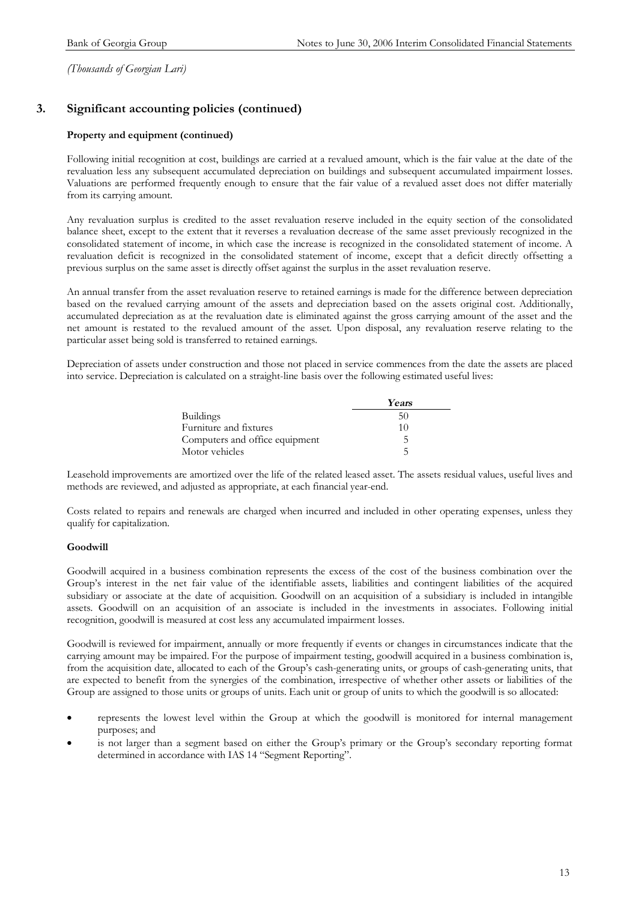### **3. Significant accounting policies (continued)**

#### **Property and equipment (continued)**

Following initial recognition at cost, buildings are carried at a revalued amount, which is the fair value at the date of the revaluation less any subsequent accumulated depreciation on buildings and subsequent accumulated impairment losses. Valuations are performed frequently enough to ensure that the fair value of a revalued asset does not differ materially from its carrying amount.

Any revaluation surplus is credited to the asset revaluation reserve included in the equity section of the consolidated balance sheet, except to the extent that it reverses a revaluation decrease of the same asset previously recognized in the consolidated statement of income, in which case the increase is recognized in the consolidated statement of income. A revaluation deficit is recognized in the consolidated statement of income, except that a deficit directly offsetting a previous surplus on the same asset is directly offset against the surplus in the asset revaluation reserve.

An annual transfer from the asset revaluation reserve to retained earnings is made for the difference between depreciation based on the revalued carrying amount of the assets and depreciation based on the assets original cost. Additionally, accumulated depreciation as at the revaluation date is eliminated against the gross carrying amount of the asset and the net amount is restated to the revalued amount of the asset. Upon disposal, any revaluation reserve relating to the particular asset being sold is transferred to retained earnings.

Depreciation of assets under construction and those not placed in service commences from the date the assets are placed into service. Depreciation is calculated on a straight-line basis over the following estimated useful lives:

|                                | Years |
|--------------------------------|-------|
| <b>Buildings</b>               | 50    |
| Furniture and fixtures         | 10    |
| Computers and office equipment |       |
| Motor vehicles                 |       |

Leasehold improvements are amortized over the life of the related leased asset. The assets residual values, useful lives and methods are reviewed, and adjusted as appropriate, at each financial year-end.

Costs related to repairs and renewals are charged when incurred and included in other operating expenses, unless they qualify for capitalization.

#### **Goodwill**

Goodwill acquired in a business combination represents the excess of the cost of the business combination over the Group's interest in the net fair value of the identifiable assets, liabilities and contingent liabilities of the acquired subsidiary or associate at the date of acquisition. Goodwill on an acquisition of a subsidiary is included in intangible assets. Goodwill on an acquisition of an associate is included in the investments in associates. Following initial recognition, goodwill is measured at cost less any accumulated impairment losses.

Goodwill is reviewed for impairment, annually or more frequently if events or changes in circumstances indicate that the carrying amount may be impaired. For the purpose of impairment testing, goodwill acquired in a business combination is, from the acquisition date, allocated to each of the Group's cash-generating units, or groups of cash-generating units, that are expected to benefit from the synergies of the combination, irrespective of whether other assets or liabilities of the Group are assigned to those units or groups of units. Each unit or group of units to which the goodwill is so allocated:

- · represents the lowest level within the Group at which the goodwill is monitored for internal management purposes; and
- is not larger than a segment based on either the Group's primary or the Group's secondary reporting format determined in accordance with IAS 14 "Segment Reporting".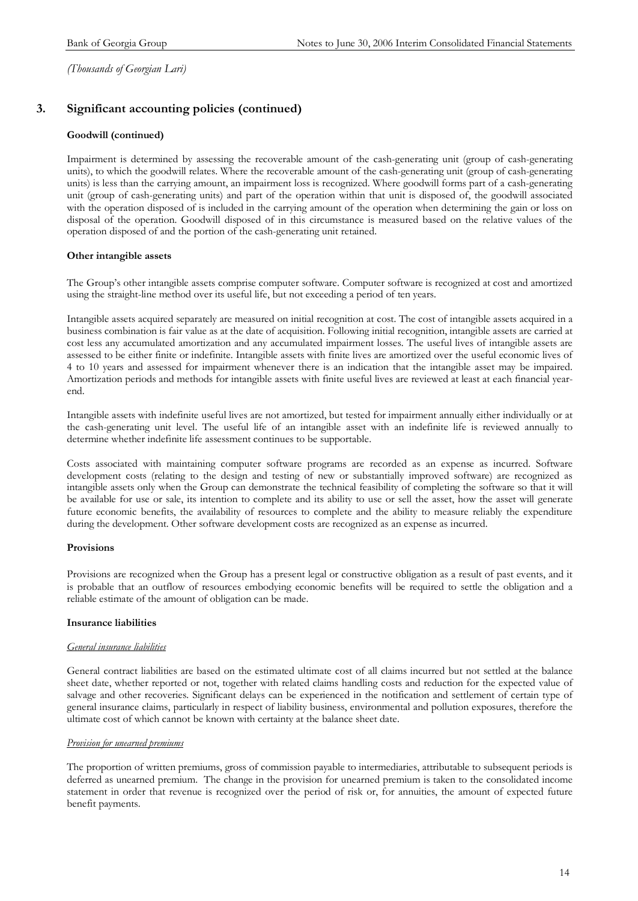### **3. Significant accounting policies (continued)**

#### **Goodwill (continued)**

Impairment is determined by assessing the recoverable amount of the cash-generating unit (group of cash-generating units), to which the goodwill relates. Where the recoverable amount of the cash-generating unit (group of cash-generating units) is less than the carrying amount, an impairment loss is recognized. Where goodwill forms part of a cash-generating unit (group of cash-generating units) and part of the operation within that unit is disposed of, the goodwill associated with the operation disposed of is included in the carrying amount of the operation when determining the gain or loss on disposal of the operation. Goodwill disposed of in this circumstance is measured based on the relative values of the operation disposed of and the portion of the cash-generating unit retained.

#### **Other intangible assets**

The Group's other intangible assets comprise computer software. Computer software is recognized at cost and amortized using the straight-line method over its useful life, but not exceeding a period of ten years.

Intangible assets acquired separately are measured on initial recognition at cost. The cost of intangible assets acquired in a business combination is fair value as at the date of acquisition. Following initial recognition, intangible assets are carried at cost less any accumulated amortization and any accumulated impairment losses. The useful lives of intangible assets are assessed to be either finite or indefinite. Intangible assets with finite lives are amortized over the useful economic lives of 4 to 10 years and assessed for impairment whenever there is an indication that the intangible asset may be impaired. Amortization periods and methods for intangible assets with finite useful lives are reviewed at least at each financial yearend.

Intangible assets with indefinite useful lives are not amortized, but tested for impairment annually either individually or at the cash-generating unit level. The useful life of an intangible asset with an indefinite life is reviewed annually to determine whether indefinite life assessment continues to be supportable.

Costs associated with maintaining computer software programs are recorded as an expense as incurred. Software development costs (relating to the design and testing of new or substantially improved software) are recognized as intangible assets only when the Group can demonstrate the technical feasibility of completing the software so that it will be available for use or sale, its intention to complete and its ability to use or sell the asset, how the asset will generate future economic benefits, the availability of resources to complete and the ability to measure reliably the expenditure during the development. Other software development costs are recognized as an expense as incurred.

#### **Provisions**

Provisions are recognized when the Group has a present legal or constructive obligation as a result of past events, and it is probable that an outflow of resources embodying economic benefits will be required to settle the obligation and a reliable estimate of the amount of obligation can be made.

#### **Insurance liabilities**

#### *General insurance liabilities*

General contract liabilities are based on the estimated ultimate cost of all claims incurred but not settled at the balance sheet date, whether reported or not, together with related claims handling costs and reduction for the expected value of salvage and other recoveries. Significant delays can be experienced in the notification and settlement of certain type of general insurance claims, particularly in respect of liability business, environmental and pollution exposures, therefore the ultimate cost of which cannot be known with certainty at the balance sheet date.

#### *Provision for unearned premiums*

The proportion of written premiums, gross of commission payable to intermediaries, attributable to subsequent periods is deferred as unearned premium. The change in the provision for unearned premium is taken to the consolidated income statement in order that revenue is recognized over the period of risk or, for annuities, the amount of expected future benefit payments.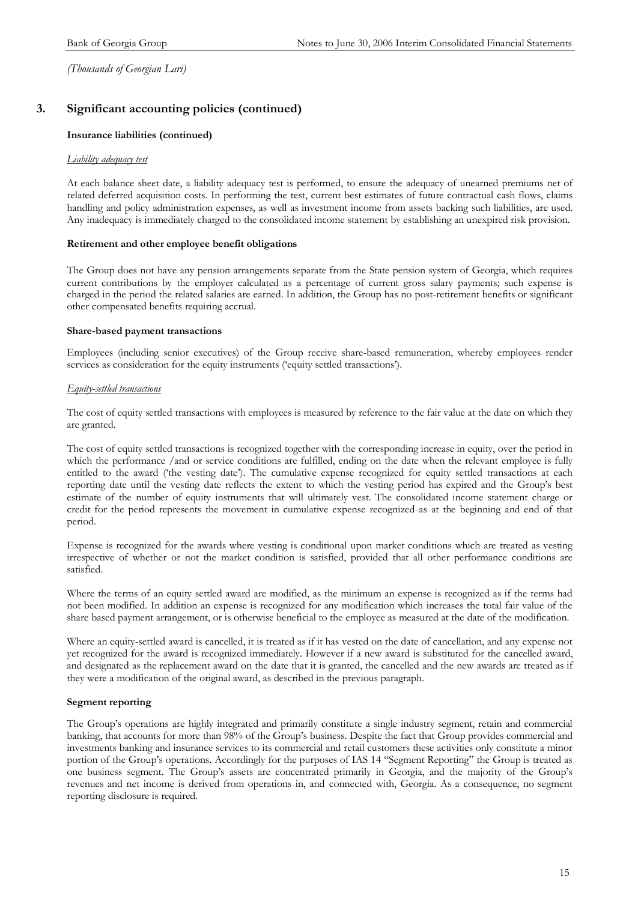### **3. Significant accounting policies (continued)**

#### **Insurance liabilities (continued)**

#### *Liability adequacy test*

At each balance sheet date, a liability adequacy test is performed, to ensure the adequacy of unearned premiums net of related deferred acquisition costs. In performing the test, current best estimates of future contractual cash flows, claims handling and policy administration expenses, as well as investment income from assets backing such liabilities, are used. Any inadequacy is immediately charged to the consolidated income statement by establishing an unexpired risk provision.

#### **Retirement and other employee benefit obligations**

The Group does not have any pension arrangements separate from the State pension system of Georgia, which requires current contributions by the employer calculated as a percentage of current gross salary payments; such expense is charged in the period the related salaries are earned. In addition, the Group has no post-retirement benefits or significant other compensated benefits requiring accrual.

#### **Share-based payment transactions**

Employees (including senior executives) of the Group receive share-based remuneration, whereby employees render services as consideration for the equity instruments ('equity settled transactions').

#### *Equity-settled transactions*

The cost of equity settled transactions with employees is measured by reference to the fair value at the date on which they are granted.

The cost of equity settled transactions is recognized together with the corresponding increase in equity, over the period in which the performance /and or service conditions are fulfilled, ending on the date when the relevant employee is fully entitled to the award ('the vesting date'). The cumulative expense recognized for equity settled transactions at each reporting date until the vesting date reflects the extent to which the vesting period has expired and the Group's best estimate of the number of equity instruments that will ultimately vest. The consolidated income statement charge or credit for the period represents the movement in cumulative expense recognized as at the beginning and end of that period.

Expense is recognized for the awards where vesting is conditional upon market conditions which are treated as vesting irrespective of whether or not the market condition is satisfied, provided that all other performance conditions are satisfied.

Where the terms of an equity settled award are modified, as the minimum an expense is recognized as if the terms had not been modified. In addition an expense is recognized for any modification which increases the total fair value of the share based payment arrangement, or is otherwise beneficial to the employee as measured at the date of the modification.

Where an equity-settled award is cancelled, it is treated as if it has vested on the date of cancellation, and any expense not yet recognized for the award is recognized immediately. However if a new award is substituted for the cancelled award, and designated as the replacement award on the date that it is granted, the cancelled and the new awards are treated as if they were a modification of the original award, as described in the previous paragraph.

#### **Segment reporting**

The Group's operations are highly integrated and primarily constitute a single industry segment, retain and commercial banking, that accounts for more than 98% of the Group's business. Despite the fact that Group provides commercial and investments banking and insurance services to its commercial and retail customers these activities only constitute a minor portion of the Group's operations. Accordingly for the purposes of IAS 14 "Segment Reporting" the Group is treated as one business segment. The Group's assets are concentrated primarily in Georgia, and the majority of the Group's revenues and net income is derived from operations in, and connected with, Georgia. As a consequence, no segment reporting disclosure is required.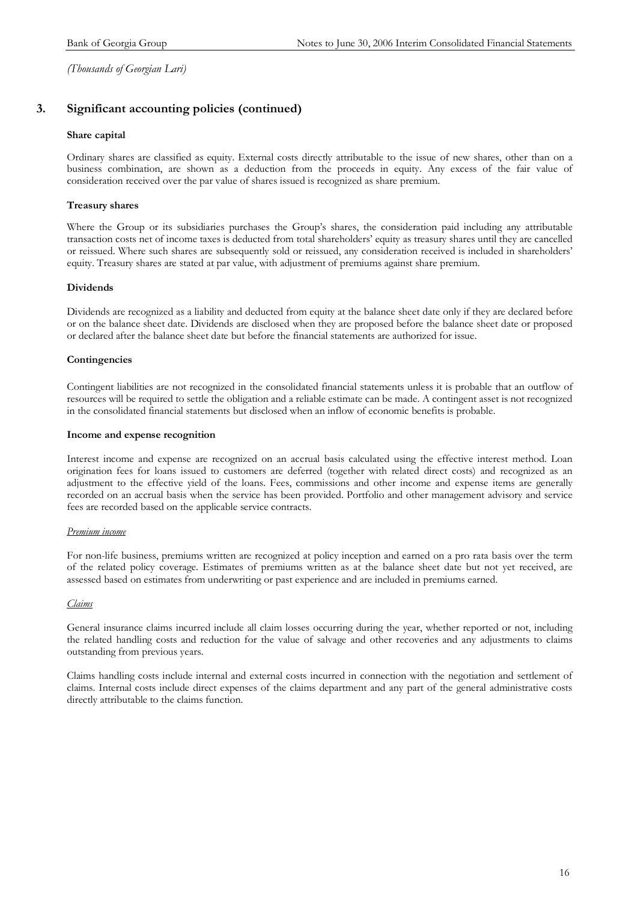### **3. Significant accounting policies (continued)**

#### **Share capital**

Ordinary shares are classified as equity. External costs directly attributable to the issue of new shares, other than on a business combination, are shown as a deduction from the proceeds in equity. Any excess of the fair value of consideration received over the par value of shares issued is recognized as share premium.

#### **Treasury shares**

Where the Group or its subsidiaries purchases the Group's shares, the consideration paid including any attributable transaction costs net of income taxes is deducted from total shareholders' equity as treasury shares until they are cancelled or reissued. Where such shares are subsequently sold or reissued, any consideration received is included in shareholders' equity. Treasury shares are stated at par value, with adjustment of premiums against share premium.

#### **Dividends**

Dividends are recognized as a liability and deducted from equity at the balance sheet date only if they are declared before or on the balance sheet date. Dividends are disclosed when they are proposed before the balance sheet date or proposed or declared after the balance sheet date but before the financial statements are authorized for issue.

#### **Contingencies**

Contingent liabilities are not recognized in the consolidated financial statements unless it is probable that an outflow of resources will be required to settle the obligation and a reliable estimate can be made. A contingent asset is not recognized in the consolidated financial statements but disclosed when an inflow of economic benefits is probable.

#### **Income and expense recognition**

Interest income and expense are recognized on an accrual basis calculated using the effective interest method. Loan origination fees for loans issued to customers are deferred (together with related direct costs) and recognized as an adjustment to the effective yield of the loans. Fees, commissions and other income and expense items are generally recorded on an accrual basis when the service has been provided. Portfolio and other management advisory and service fees are recorded based on the applicable service contracts.

#### *Premium income*

For non-life business, premiums written are recognized at policy inception and earned on a pro rata basis over the term of the related policy coverage. Estimates of premiums written as at the balance sheet date but not yet received, are assessed based on estimates from underwriting or past experience and are included in premiums earned.

#### *Claims*

General insurance claims incurred include all claim losses occurring during the year, whether reported or not, including the related handling costs and reduction for the value of salvage and other recoveries and any adjustments to claims outstanding from previous years.

Claims handling costs include internal and external costs incurred in connection with the negotiation and settlement of claims. Internal costs include direct expenses of the claims department and any part of the general administrative costs directly attributable to the claims function.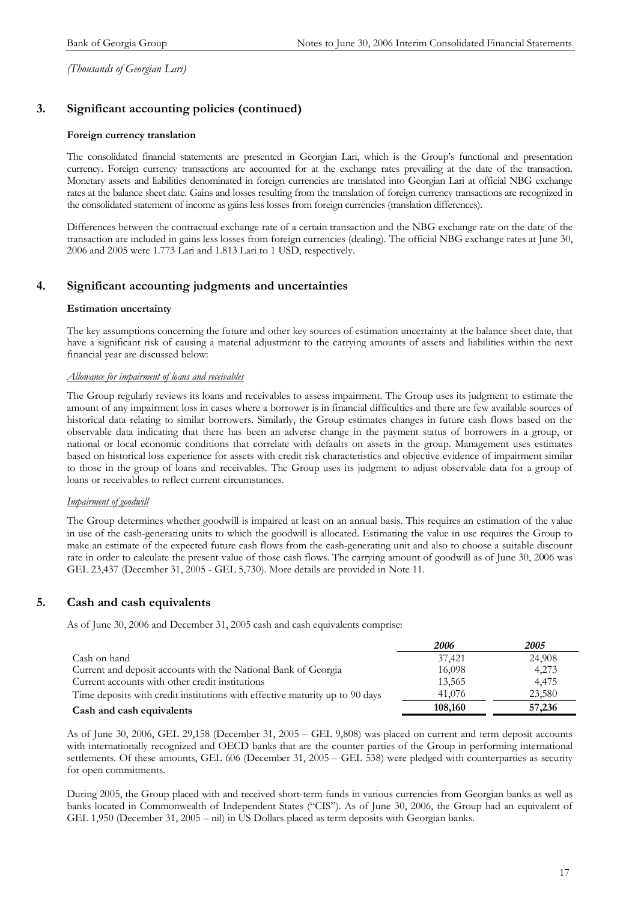### **3. Significant accounting policies (continued)**

#### **Foreign currency translation**

The consolidated financial statements are presented in Georgian Lari, which is the Group's functional and presentation currency. Foreign currency transactions are accounted for at the exchange rates prevailing at the date of the transaction. Monetary assets and liabilities denominated in foreign currencies are translated into Georgian Lari at official NBG exchange rates at the balance sheet date. Gains and losses resulting from the translation of foreign currency transactions are recognized in the consolidated statement of income as gains less losses from foreign currencies (translation differences).

Differences between the contractual exchange rate of a certain transaction and the NBG exchange rate on the date of the transaction are included in gains less losses from foreign currencies (dealing). The official NBG exchange rates at June 30, 2006 and 2005 were 1.773 Lari and 1.813 Lari to 1 USD, respectively.

#### **4. Significant accounting judgments and uncertainties**

#### **Estimation uncertainty**

The key assumptions concerning the future and other key sources of estimation uncertainty at the balance sheet date, that have a significant risk of causing a material adjustment to the carrying amounts of assets and liabilities within the next financial year are discussed below:

#### *Allowance for impairment of loans and receivables*

The Group regularly reviews its loans and receivables to assess impairment. The Group uses its judgment to estimate the amount of any impairment loss in cases where a borrower is in financial difficulties and there are few available sources of historical data relating to similar borrowers. Similarly, the Group estimates changes in future cash flows based on the observable data indicating that there has been an adverse change in the payment status of borrowers in a group, or national or local economic conditions that correlate with defaults on assets in the group. Management uses estimates based on historical loss experience for assets with credit risk characteristics and objective evidence of impairment similar to those in the group of loans and receivables. The Group uses its judgment to adjust observable data for a group of loans or receivables to reflect current circumstances.

### *Impairment of goodwill*

The Group determines whether goodwill is impaired at least on an annual basis. This requires an estimation of the value in use of the cash-generating units to which the goodwill is allocated. Estimating the value in use requires the Group to make an estimate of the expected future cash flows from the cash-generating unit and also to choose a suitable discount rate in order to calculate the present value of those cash flows. The carrying amount of goodwill as of June 30, 2006 was GEL 23,437 (December 31, 2005 - GEL 5,730). More details are provided in Note 11.

### **5. Cash and cash equivalents**

As of June 30, 2006 and December 31, 2005 cash and cash equivalents comprise:

|                                                                              | 2006    | <i>2005</i> |
|------------------------------------------------------------------------------|---------|-------------|
| Cash on hand                                                                 | 37,421  | 24,908      |
| Current and deposit accounts with the National Bank of Georgia               | 16,098  | 4,273       |
| Current accounts with other credit institutions                              | 13,565  | 4,475       |
| Time deposits with credit institutions with effective maturity up to 90 days | 41,076  | 23,580      |
| Cash and cash equivalents                                                    | 108,160 | 57,236      |

As of June 30, 2006, GEL 29,158 (December 31, 2005 – GEL 9,808) was placed on current and term deposit accounts with internationally recognized and OECD banks that are the counter parties of the Group in performing international settlements. Of these amounts, GEL 606 (December 31, 2005 – GEL 538) were pledged with counterparties as security for open commitments.

During 2005, the Group placed with and received short-term funds in various currencies from Georgian banks as well as banks located in Commonwealth of Independent States ("CIS"). As of June 30, 2006, the Group had an equivalent of GEL 1,950 (December 31, 2005 – nil) in US Dollars placed as term deposits with Georgian banks.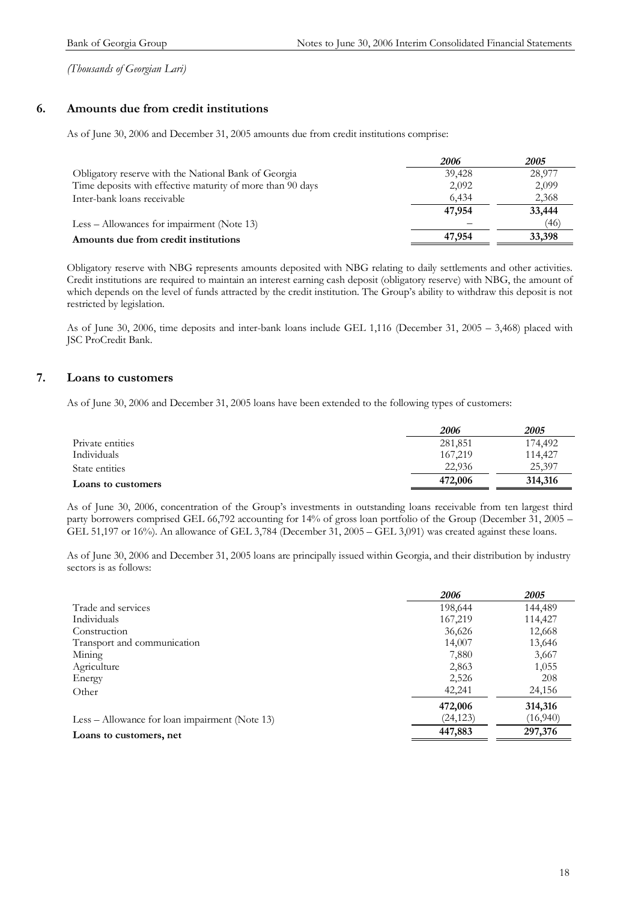### **6. Amounts due from credit institutions**

As of June 30, 2006 and December 31, 2005 amounts due from credit institutions comprise:

|                                                            | 2006   | <i>2005</i> |
|------------------------------------------------------------|--------|-------------|
| Obligatory reserve with the National Bank of Georgia       | 39,428 | 28,977      |
| Time deposits with effective maturity of more than 90 days | 2,092  | 2,099       |
| Inter-bank loans receivable                                | 6.434  | 2,368       |
|                                                            | 47,954 | 33,444      |
| Less – Allowances for impairment (Note 13)                 |        | (46)        |
| Amounts due from credit institutions                       | 47,954 | 33,398      |

Obligatory reserve with NBG represents amounts deposited with NBG relating to daily settlements and other activities. Credit institutions are required to maintain an interest earning cash deposit (obligatory reserve) with NBG, the amount of which depends on the level of funds attracted by the credit institution. The Group's ability to withdraw this deposit is not restricted by legislation.

As of June 30, 2006, time deposits and inter-bank loans include GEL 1,116 (December 31, 2005 – 3,468) placed with JSC ProCredit Bank.

### **7. Loans to customers**

As of June 30, 2006 and December 31, 2005 loans have been extended to the following types of customers:

|                    | 2006    | 2005    |
|--------------------|---------|---------|
| Private entities   | 281,851 | 174,492 |
| Individuals        | 167.219 | 114,427 |
| State entities     | 22,936  | 25.397  |
| Loans to customers | 472,006 | 314,316 |

As of June 30, 2006, concentration of the Group's investments in outstanding loans receivable from ten largest third party borrowers comprised GEL 66,792 accounting for 14% of gross loan portfolio of the Group (December 31, 2005 – GEL 51,197 or 16%). An allowance of GEL 3,784 (December 31, 2005 – GEL 3,091) was created against these loans.

As of June 30, 2006 and December 31, 2005 loans are principally issued within Georgia, and their distribution by industry sectors is as follows:

|                                                 | 2006      | 2005     |
|-------------------------------------------------|-----------|----------|
| Trade and services                              | 198,644   | 144,489  |
| Individuals                                     | 167,219   | 114,427  |
| Construction                                    | 36,626    | 12,668   |
| Transport and communication                     | 14,007    | 13,646   |
| Mining                                          | 7,880     | 3,667    |
| Agriculture                                     | 2,863     | 1,055    |
| Energy                                          | 2,526     | 208      |
| Other                                           | 42,241    | 24,156   |
|                                                 | 472,006   | 314,316  |
| $Less - Allowane for loan impairment (Note 13)$ | (24, 123) | (16,940) |
| Loans to customers, net                         | 447,883   | 297,376  |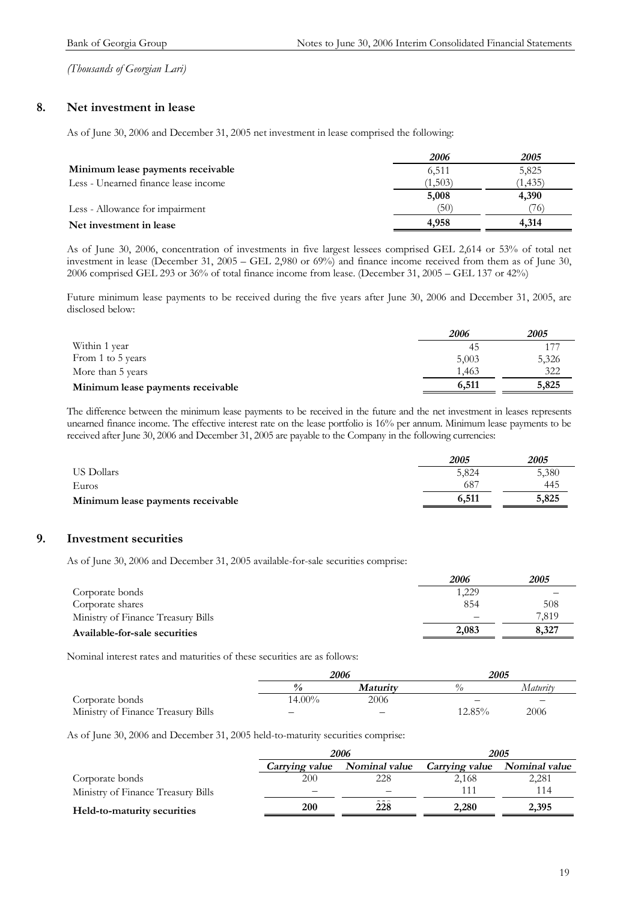### **8. Net investment in lease**

As of June 30, 2006 and December 31, 2005 net investment in lease comprised the following:

|                                      | 2006    | 2005     |
|--------------------------------------|---------|----------|
| Minimum lease payments receivable    | 6,511   | 5,825    |
| Less - Unearned finance lease income | (1,503) | (1, 435) |
|                                      | 5,008   | 4,390    |
| Less - Allowance for impairment      | (50)    | 76)      |
| Net investment in lease              | 4,958   | 4.314    |

As of June 30, 2006, concentration of investments in five largest lessees comprised GEL 2,614 or 53% of total net investment in lease (December 31, 2005 – GEL 2,980 or 69%) and finance income received from them as of June 30, 2006 comprised GEL 293 or 36% of total finance income from lease. (December 31, 2005 – GEL 137 or 42%)

Future minimum lease payments to be received during the five years after June 30, 2006 and December 31, 2005, are disclosed below:

|                                   | 2006  | 2005  |
|-----------------------------------|-------|-------|
| Within 1 year                     | 45    |       |
| From 1 to 5 years                 | 5,003 | 5,326 |
| More than 5 years                 | 1,463 | 322   |
| Minimum lease payments receivable | 6,511 | 5,825 |

The difference between the minimum lease payments to be received in the future and the net investment in leases represents unearned finance income. The effective interest rate on the lease portfolio is 16% per annum. Minimum lease payments to be received after June 30, 2006 and December 31, 2005 are payable to the Company in the following currencies:

|                                   | 2005  | 2005  |
|-----------------------------------|-------|-------|
| US Dollars                        | 5,824 | 5,380 |
| Euros                             | 687   | 445   |
| Minimum lease payments receivable | 6,511 | 5,825 |

### **9. Investment securities**

As of June 30, 2006 and December 31, 2005 available-for-sale securities comprise:

|                                    | 2006  | 2005  |
|------------------------------------|-------|-------|
| Corporate bonds                    | 1,229 |       |
| Corporate shares                   | 854   | 508   |
| Ministry of Finance Treasury Bills |       | 7.819 |
| Available-for-sale securities      | 2.083 | 8,327 |

Nominal interest rates and maturities of these securities are as follows:

|                                    | 2006                             |      | 2005          |          |
|------------------------------------|----------------------------------|------|---------------|----------|
|                                    | $\frac{0}{a}$<br><i>Maturity</i> |      | $\frac{a}{a}$ | Maturity |
| Corporate bonds                    | $14.00\%$                        | 2006 | —             | -        |
| Ministry of Finance Treasury Bills | $\overline{\phantom{m}}$         | —    | $12.85\%$     | 2006     |

As of June 30, 2006 and December 31, 2005 held-to-maturity securities comprise:

|                                    |                | 2006                        | 2005                  |               |  |
|------------------------------------|----------------|-----------------------------|-----------------------|---------------|--|
|                                    | Carrying value | Nominal value               | <i>Carrying value</i> | Nominal value |  |
| Corporate bonds                    | 200            | 228                         | 2,168                 | 2,281         |  |
| Ministry of Finance Treasury Bills |                |                             |                       | 114           |  |
| Held-to-maturity securities        | 200            | $\sim$ $\sim$ $\sim$<br>228 | 2.280                 | 2,395         |  |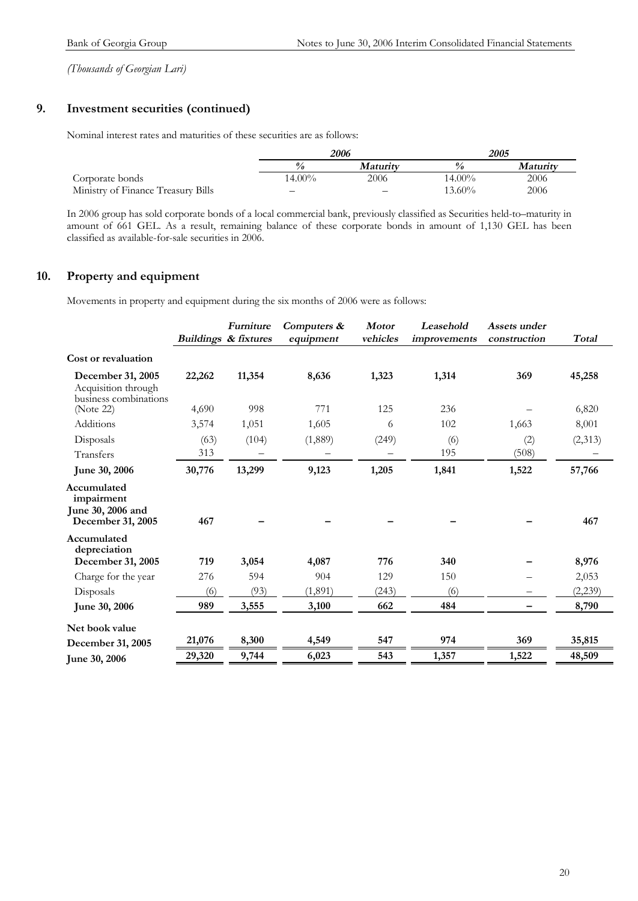### **9. Investment securities (continued)**

Nominal interest rates and maturities of these securities are as follows:

|                                    | 2006   |                 | 2005          |                 |
|------------------------------------|--------|-----------------|---------------|-----------------|
|                                    |        | <i>Maturity</i> | $\frac{0}{a}$ | <i>Maturity</i> |
| Corporate bonds                    | 14.00% | 2006            | $14.00\%$     | 2006            |
| Ministry of Finance Treasury Bills | -      | –               | $13.60\%$     | 2006            |

In 2006 group has sold corporate bonds of a local commercial bank, previously classified as Securities held-to–maturity in amount of 661 GEL. As a result, remaining balance of these corporate bonds in amount of 1,130 GEL has been classified as available-for-sale securities in 2006.

### **10. Property and equipment**

Movements in property and equipment during the six months of 2006 were as follows:

|                                                                     |        | Furniture<br><b>Buildings &amp; fixtures</b> | Computers &<br>equipment | <b>Motor</b><br>vehicles | Leasehold<br><i>improvements</i> | Assets under<br>construction | <b>Total</b> |
|---------------------------------------------------------------------|--------|----------------------------------------------|--------------------------|--------------------------|----------------------------------|------------------------------|--------------|
| Cost or revaluation                                                 |        |                                              |                          |                          |                                  |                              |              |
| December 31, 2005<br>Acquisition through<br>business combinations   | 22,262 | 11,354                                       | 8,636                    | 1,323                    | 1,314                            | 369                          | 45,258       |
| (Note 22)                                                           | 4,690  | 998                                          | 771                      | 125                      | 236                              |                              | 6,820        |
| Additions                                                           | 3,574  | 1,051                                        | 1,605                    | 6                        | 102                              | 1,663                        | 8,001        |
| Disposals                                                           | (63)   | (104)                                        | (1,889)                  | (249)                    | (6)                              | (2)                          | (2,313)      |
| Transfers                                                           | 313    |                                              |                          |                          | 195                              | (508)                        |              |
| June 30, 2006                                                       | 30,776 | 13,299                                       | 9,123                    | 1,205                    | 1,841                            | 1,522                        | 57,766       |
| Accumulated<br>impairment<br>June 30, 2006 and<br>December 31, 2005 | 467    |                                              |                          |                          |                                  |                              | 467          |
| Accumulated<br>depreciation<br>December 31, 2005                    | 719    | 3,054                                        | 4,087                    | 776                      | 340                              |                              | 8,976        |
| Charge for the year                                                 | 276    | 594                                          | 904                      | 129                      | 150                              |                              | 2,053        |
| Disposals                                                           | (6)    | (93)                                         | (1,891)                  | (243)                    | (6)                              |                              | (2,239)      |
| June 30, 2006                                                       | 989    | 3,555                                        | 3,100                    | 662                      | 484                              |                              | 8,790        |
| Net book value                                                      |        |                                              |                          |                          |                                  |                              |              |
| December 31, 2005                                                   | 21,076 | 8,300                                        | 4,549                    | 547                      | 974                              | 369                          | 35,815       |
| <b>June 30, 2006</b>                                                | 29,320 | 9,744                                        | 6,023                    | 543                      | 1,357                            | 1,522                        | 48,509       |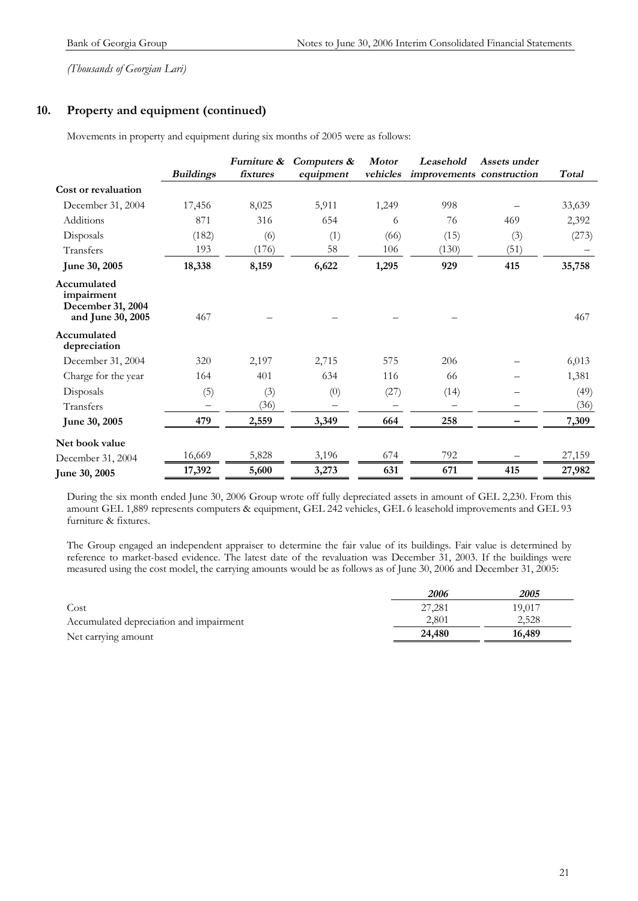### **10. Property and equipment (continued)**

Movements in property and equipment during six months of 2005 were as follows:

|                                                                     | <b>Buildings</b> | Furniture &<br>fixtures | Computers &<br>equipment | <b>Motor</b><br>vehicles | Leasehold<br>improvements construction | Assets under | <b>Total</b> |
|---------------------------------------------------------------------|------------------|-------------------------|--------------------------|--------------------------|----------------------------------------|--------------|--------------|
| Cost or revaluation                                                 |                  |                         |                          |                          |                                        |              |              |
| December 31, 2004                                                   | 17,456           | 8,025                   | 5,911                    | 1,249                    | 998                                    |              | 33,639       |
| Additions                                                           | 871              | 316                     | 654                      | 6                        | 76                                     | 469          | 2,392        |
| Disposals                                                           | (182)            | (6)                     | (1)                      | (66)                     | (15)                                   | (3)          | (273)        |
| Transfers                                                           | 193              | (176)                   | 58                       | 106                      | (130)                                  | (51)         |              |
| June 30, 2005                                                       | 18,338           | 8,159                   | 6,622                    | 1,295                    | 929                                    | 415          | 35,758       |
| Accumulated<br>impairment<br>December 31, 2004<br>and June 30, 2005 | 467              |                         |                          |                          |                                        |              | 467          |
| Accumulated<br>depreciation                                         |                  |                         |                          |                          |                                        |              |              |
| December 31, 2004                                                   | 320              | 2,197                   | 2,715                    | 575                      | 206                                    |              | 6,013        |
| Charge for the year                                                 | 164              | 401                     | 634                      | 116                      | 66                                     |              | 1,381        |
| Disposals                                                           | (5)              | (3)                     | (0)                      | (27)                     | (14)                                   |              | (49)         |
| Transfers                                                           |                  | (36)                    |                          |                          |                                        |              | (36)         |
| June 30, 2005                                                       | 479              | 2,559                   | 3,349                    | 664                      | 258                                    |              | 7,309        |
| Net book value                                                      |                  |                         |                          |                          |                                        |              |              |
| December 31, 2004                                                   | 16,669           | 5,828                   | 3,196                    | 674                      | 792                                    |              | 27,159       |
| June 30, 2005                                                       | 17,392           | 5,600                   | 3,273                    | 631                      | 671                                    | 415          | 27,982       |

During the six month ended June 30, 2006 Group wrote off fully depreciated assets in amount of GEL 2,230. From this amount GEL 1,889 represents computers & equipment, GEL 242 vehicles, GEL 6 leasehold improvements and GEL 93 furniture & fixtures.

The Group engaged an independent appraiser to determine the fair value of its buildings. Fair value is determined by reference to market-based evidence. The latest date of the revaluation was December 31, 2003. If the buildings were measured using the cost model, the carrying amounts would be as follows as of June 30, 2006 and December 31, 2005:

|                                         | 2006   | 2005   |
|-----------------------------------------|--------|--------|
| Cost                                    | 27,281 | 19.017 |
| Accumulated depreciation and impairment | 2.801  | 2.528  |
| Net carrying amount                     | 24,480 | 16,489 |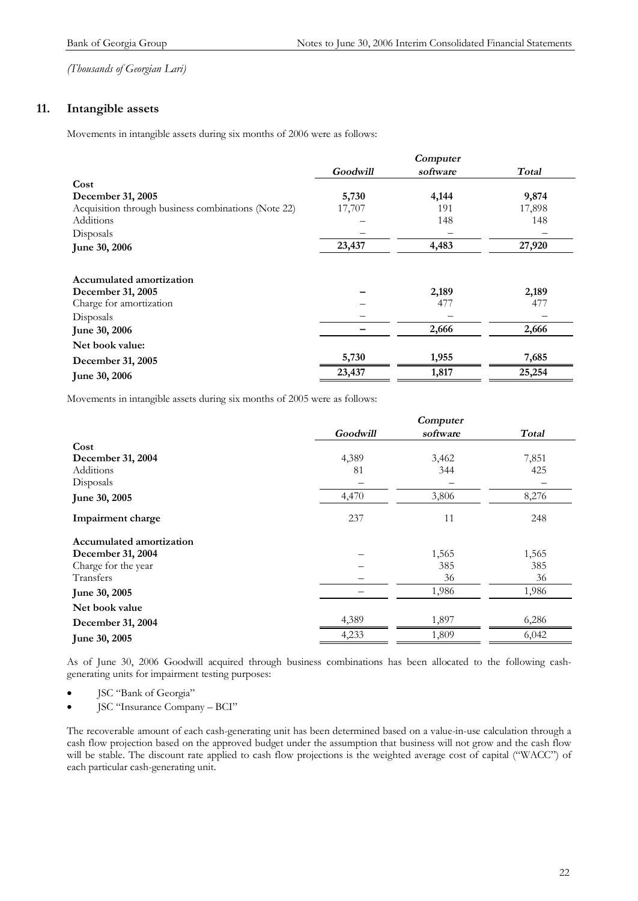### **11. Intangible assets**

Movements in intangible assets during six months of 2006 were as follows:

|                                                     |          | Computer |        |
|-----------------------------------------------------|----------|----------|--------|
|                                                     | Goodwill | software | Total  |
| Cost                                                |          |          |        |
| December 31, 2005                                   | 5,730    | 4,144    | 9,874  |
| Acquisition through business combinations (Note 22) | 17,707   | 191      | 17,898 |
| <b>Additions</b>                                    |          | 148      | 148    |
| Disposals                                           |          |          |        |
| June 30, 2006                                       | 23,437   | 4,483    | 27,920 |
| Accumulated amortization                            |          |          |        |
| December 31, 2005                                   |          | 2,189    | 2,189  |
| Charge for amortization                             |          | 477      | 477    |
| Disposals                                           |          |          |        |
| June 30, 2006                                       |          | 2,666    | 2,666  |
| Net book value:                                     |          |          |        |
| December 31, 2005                                   | 5,730    | 1,955    | 7,685  |
| June 30, 2006                                       | 23,437   | 1,817    | 25,254 |

Movements in intangible assets during six months of 2005 were as follows:

|                                 | Computer |          |       |
|---------------------------------|----------|----------|-------|
|                                 | Goodwill | software | Total |
| Cost                            |          |          |       |
| December 31, 2004               | 4,389    | 3,462    | 7,851 |
| <b>Additions</b>                | 81       | 344      | 425   |
| Disposals                       |          |          |       |
| June 30, 2005                   | 4,470    | 3,806    | 8,276 |
| Impairment charge               | 237      | 11       | 248   |
| <b>Accumulated amortization</b> |          |          |       |
| December 31, 2004               |          | 1,565    | 1,565 |
| Charge for the year             |          | 385      | 385   |
| Transfers                       |          | 36       | 36    |
| June 30, 2005                   |          | 1,986    | 1,986 |
| Net book value                  |          |          |       |
| December 31, 2004               | 4,389    | 1,897    | 6,286 |
| June 30, 2005                   | 4,233    | 1,809    | 6,042 |

As of June 30, 2006 Goodwill acquired through business combinations has been allocated to the following cashgenerating units for impairment testing purposes:

· JSC "Bank of Georgia"

· JSC "Insurance Company – BCI"

The recoverable amount of each cash-generating unit has been determined based on a value-in-use calculation through a cash flow projection based on the approved budget under the assumption that business will not grow and the cash flow will be stable. The discount rate applied to cash flow projections is the weighted average cost of capital ("WACC") of each particular cash-generating unit.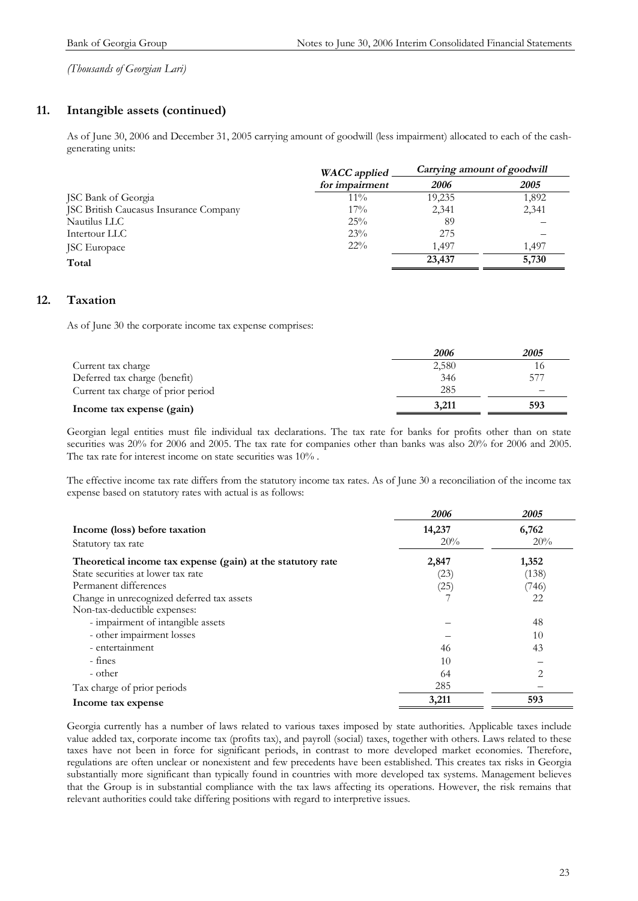### **11. Intangible assets (continued)**

As of June 30, 2006 and December 31, 2005 carrying amount of goodwill (less impairment) allocated to each of the cashgenerating units:

|                                        | <b>WACC</b> applied   | Carrying amount of goodwill |             |
|----------------------------------------|-----------------------|-----------------------------|-------------|
|                                        | for <i>impairment</i> | 2006                        | <i>2005</i> |
| JSC Bank of Georgia                    | $11\%$                | 19,235                      | 1,892       |
| JSC British Caucasus Insurance Company | $17\%$                | 2,341                       | 2,341       |
| Nautilus LLC                           | 25%                   | 89                          |             |
| Intertour LLC                          | 23%                   | 275                         |             |
| JSC Europace                           | $22\%$                | 1.497                       | 1.497       |
| Total                                  |                       | 23,437                      | 5,730       |

### **12. Taxation**

As of June 30 the corporate income tax expense comprises:

|                                    | 2006  | 2005 |
|------------------------------------|-------|------|
| Current tax charge                 | 2,580 |      |
| Deferred tax charge (benefit)      | 346   | 577  |
| Current tax charge of prior period | 285   |      |
| Income tax expense (gain)          | 3.211 | 593  |

Georgian legal entities must file individual tax declarations. The tax rate for banks for profits other than on state securities was 20% for 2006 and 2005. The tax rate for companies other than banks was also 20% for 2006 and 2005. The tax rate for interest income on state securities was 10% .

The effective income tax rate differs from the statutory income tax rates. As of June 30 a reconciliation of the income tax expense based on statutory rates with actual is as follows:

|                                                             | 2006   | 2005           |
|-------------------------------------------------------------|--------|----------------|
| Income (loss) before taxation                               | 14,237 | 6,762          |
| Statutory tax rate                                          | 20%    | 20%            |
| Theoretical income tax expense (gain) at the statutory rate | 2,847  | 1,352          |
| State securities at lower tax rate                          | (23)   | (138)          |
| Permanent differences                                       | (25)   | (746)          |
| Change in unrecognized deferred tax assets                  |        | 22             |
| Non-tax-deductible expenses:                                |        |                |
| - impairment of intangible assets                           |        | 48             |
| - other impairment losses                                   |        | 10             |
| - entertainment                                             | 46     | 43             |
| - fines                                                     | 10     |                |
| - other                                                     | 64     | $\overline{c}$ |
| Tax charge of prior periods                                 | 285    |                |
| Income tax expense                                          | 3,211  | 593            |

Georgia currently has a number of laws related to various taxes imposed by state authorities. Applicable taxes include value added tax, corporate income tax (profits tax), and payroll (social) taxes, together with others. Laws related to these taxes have not been in force for significant periods, in contrast to more developed market economies. Therefore, regulations are often unclear or nonexistent and few precedents have been established. This creates tax risks in Georgia substantially more significant than typically found in countries with more developed tax systems. Management believes that the Group is in substantial compliance with the tax laws affecting its operations. However, the risk remains that relevant authorities could take differing positions with regard to interpretive issues.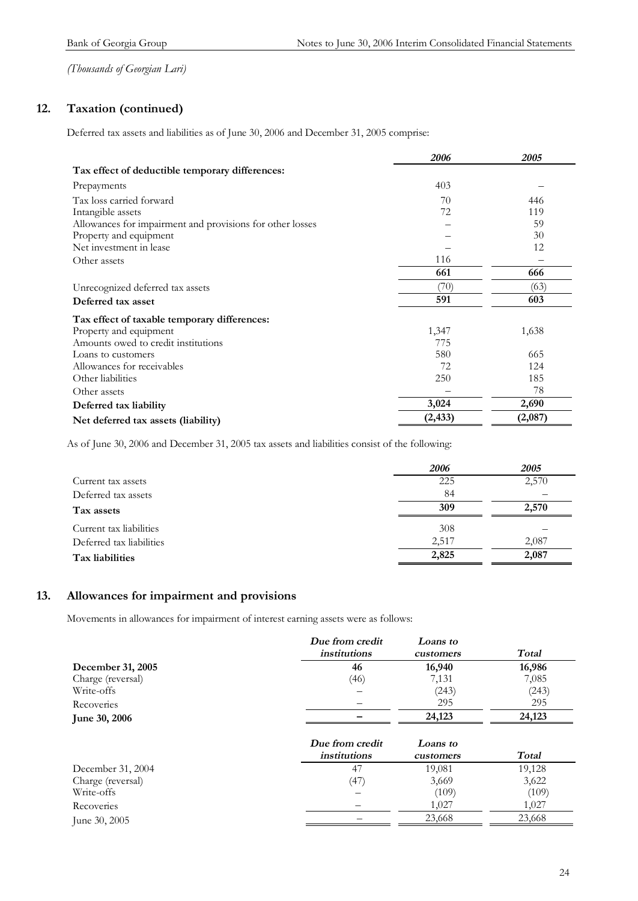### **12. Taxation (continued)**

Deferred tax assets and liabilities as of June 30, 2006 and December 31, 2005 comprise:

|                                                           | 2006     | 2005    |
|-----------------------------------------------------------|----------|---------|
| Tax effect of deductible temporary differences:           |          |         |
| Prepayments                                               | 403      |         |
| Tax loss carried forward                                  | 70       | 446     |
| Intangible assets                                         | 72       | 119     |
| Allowances for impairment and provisions for other losses |          | 59      |
| Property and equipment                                    |          | 30      |
| Net investment in lease                                   |          | 12      |
| Other assets                                              | 116      |         |
|                                                           | 661      | 666     |
| Unrecognized deferred tax assets                          | (70)     | (63)    |
| Deferred tax asset                                        | 591      | 603     |
| Tax effect of taxable temporary differences:              |          |         |
| Property and equipment                                    | 1,347    | 1,638   |
| Amounts owed to credit institutions                       | 775      |         |
| Loans to customers                                        | 580      | 665     |
| Allowances for receivables                                | 72       | 124     |
| Other liabilities                                         | 250      | 185     |
| Other assets                                              |          | 78      |
| Deferred tax liability                                    | 3,024    | 2,690   |
| Net deferred tax assets (liability)                       | (2, 433) | (2,087) |

As of June 30, 2006 and December 31, 2005 tax assets and liabilities consist of the following:

|                          | 2006  | 2005  |
|--------------------------|-------|-------|
| Current tax assets       | 225   | 2,570 |
| Deferred tax assets      | 84    |       |
| Tax assets               | 309   | 2,570 |
| Current tax liabilities  | 308   |       |
| Deferred tax liabilities | 2,517 | 2,087 |
| Tax liabilities          | 2,825 | 2,087 |

### **13. Allowances for impairment and provisions**

Movements in allowances for impairment of interest earning assets were as follows:

|                      | Due from credit<br><i>institutions</i> | Loans to<br>customers | Total  |
|----------------------|----------------------------------------|-----------------------|--------|
| December 31, 2005    | 46                                     | 16,940                | 16,986 |
| Charge (reversal)    | (46)                                   | 7,131                 | 7,085  |
| Write-offs           |                                        | (243)                 | (243)  |
| Recoveries           |                                        | 295                   | 295    |
| <b>June 30, 2006</b> |                                        | 24,123                | 24,123 |
|                      | Due from credit<br><i>institutions</i> | Loans to<br>customers | Total  |

| 19,128<br>December 31, 2004<br>$4^{\circ}$<br>19,081 |        |
|------------------------------------------------------|--------|
| (47<br>Charge (reversal)<br>3,669                    | 3,622  |
| (109)<br>Write-offs                                  | (109)  |
| 1.027<br>Recoveries<br>$\overline{\phantom{0}}$      | 1.027  |
| 23,668<br>June 30, 2005                              | 23,668 |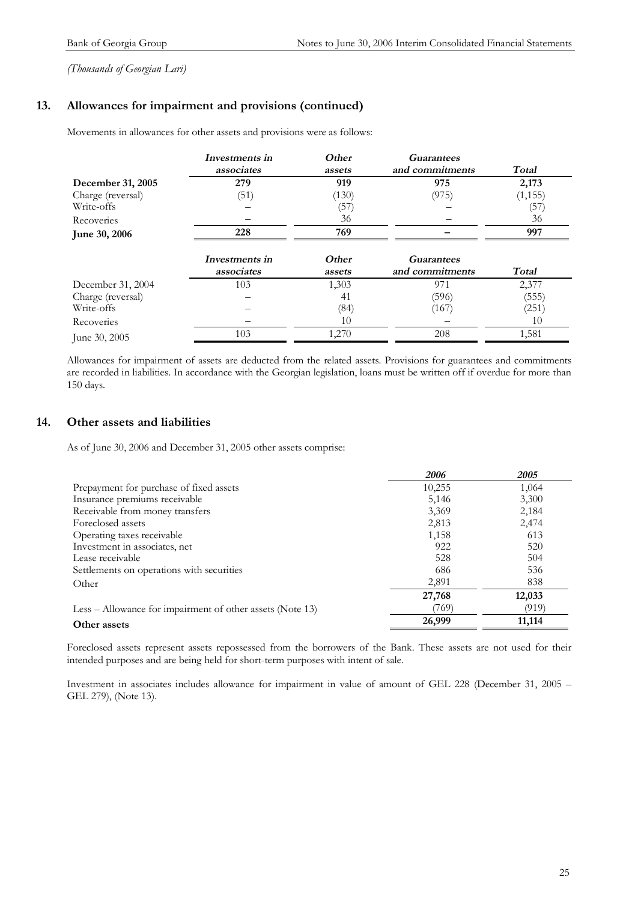### **13. Allowances for impairment and provisions (continued)**

Movements in allowances for other assets and provisions were as follows:

|                      | Investments in               | Other           | <b>Guarantees</b>                    |          |
|----------------------|------------------------------|-----------------|--------------------------------------|----------|
|                      | associates                   | assets          | and commitments                      | Total    |
| December 31, 2005    | 279                          | 919             | 975                                  | 2,173    |
| Charge (reversal)    | (51)                         | (130)           | (975)                                | (1, 155) |
| Write-offs           |                              | (57)            |                                      | (57)     |
| Recoveries           |                              | 36              |                                      | 36       |
| <b>June 30, 2006</b> | 228                          | 769             |                                      | 997      |
|                      | Investments in<br>associates | Other<br>assets | <b>Guarantees</b><br>and commitments | Total    |
| December 31, 2004    | 103                          | 1,303           | 971                                  | 2,377    |
| Charge (reversal)    |                              | 41              | (596)                                | (555)    |
| Write-offs           |                              | (84)            | (167)                                | (251)    |
| Recoveries           |                              | 10              |                                      | 10       |
| June 30, 2005        | 103                          | 1,270           | 208                                  | 1,581    |

Allowances for impairment of assets are deducted from the related assets. Provisions for guarantees and commitments are recorded in liabilities. In accordance with the Georgian legislation, loans must be written off if overdue for more than 150 days.

### **14. Other assets and liabilities**

As of June 30, 2006 and December 31, 2005 other assets comprise:

|                                                           | 2006   | 2005   |
|-----------------------------------------------------------|--------|--------|
| Prepayment for purchase of fixed assets                   | 10,255 | 1,064  |
| Insurance premiums receivable                             | 5,146  | 3,300  |
| Receivable from money transfers                           | 3,369  | 2,184  |
| Foreclosed assets                                         | 2,813  | 2,474  |
| Operating taxes receivable                                | 1,158  | 613    |
| Investment in associates, net                             | 922    | 520    |
| Lease receivable                                          | 528    | 504    |
| Settlements on operations with securities                 | 686    | 536    |
| Other                                                     | 2,891  | 838    |
|                                                           | 27,768 | 12,033 |
| Less – Allowance for impairment of other assets (Note 13) | (769)  | (919)  |
| Other assets                                              | 26,999 | 11,114 |

Foreclosed assets represent assets repossessed from the borrowers of the Bank. These assets are not used for their intended purposes and are being held for short-term purposes with intent of sale.

Investment in associates includes allowance for impairment in value of amount of GEL 228 (December 31, 2005 – GEL 279), (Note 13).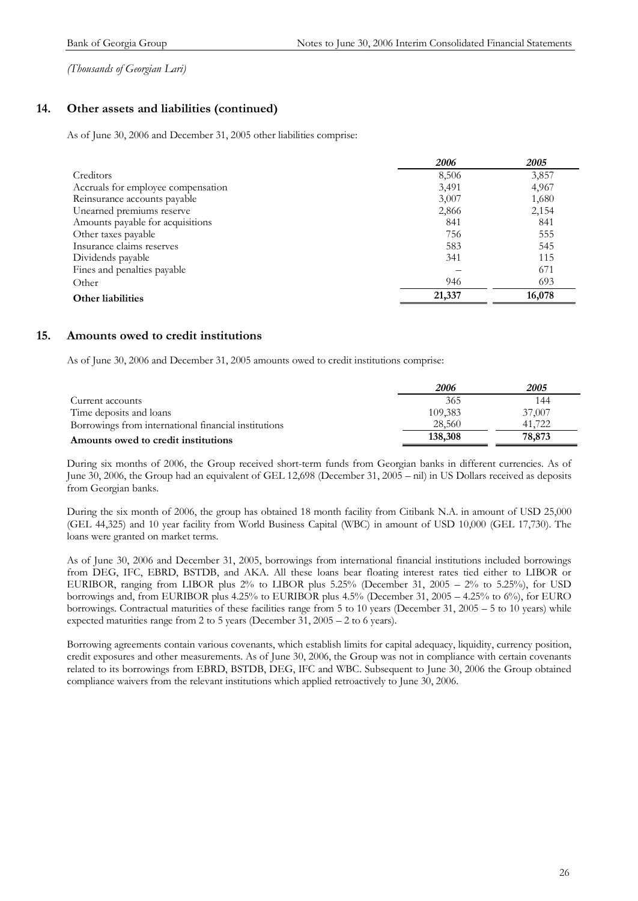### **14. Other assets and liabilities (continued)**

As of June 30, 2006 and December 31, 2005 other liabilities comprise:

|                                    | 2006   | 2005   |
|------------------------------------|--------|--------|
| Creditors                          | 8,506  | 3,857  |
| Accruals for employee compensation | 3,491  | 4,967  |
| Reinsurance accounts payable       | 3,007  | 1,680  |
| Unearned premiums reserve          | 2,866  | 2,154  |
| Amounts payable for acquisitions   | 841    | 841    |
| Other taxes payable                | 756    | 555    |
| Insurance claims reserves          | 583    | 545    |
| Dividends payable                  | 341    | 115    |
| Fines and penalties payable        |        | 671    |
| Other                              | 946    | 693    |
| Other liabilities                  | 21,337 | 16,078 |

### **15. Amounts owed to credit institutions**

As of June 30, 2006 and December 31, 2005 amounts owed to credit institutions comprise:

|                                                      | 2006    | <i>2005</i> |
|------------------------------------------------------|---------|-------------|
| Current accounts                                     | 365     | 144         |
| Time deposits and loans                              | 109,383 | 37,007      |
| Borrowings from international financial institutions | 28,560  | 41.722      |
| Amounts owed to credit institutions                  | 138,308 | 78,873      |

During six months of 2006, the Group received short-term funds from Georgian banks in different currencies. As of June 30, 2006, the Group had an equivalent of GEL 12,698 (December 31, 2005 – nil) in US Dollars received as deposits from Georgian banks.

During the six month of 2006, the group has obtained 18 month facility from Citibank N.A. in amount of USD 25,000 (GEL 44,325) and 10 year facility from World Business Capital (WBC) in amount of USD 10,000 (GEL 17,730). The loans were granted on market terms.

As of June 30, 2006 and December 31, 2005, borrowings from international financial institutions included borrowings from DEG, IFC, EBRD, BSTDB, and AKA. All these loans bear floating interest rates tied either to LIBOR or EURIBOR, ranging from LIBOR plus 2% to LIBOR plus 5.25% (December 31, 2005 – 2% to 5.25%), for USD borrowings and, from EURIBOR plus 4.25% to EURIBOR plus 4.5% (December 31, 2005 – 4.25% to 6%), for EURO borrowings. Contractual maturities of these facilities range from 5 to 10 years (December 31, 2005 – 5 to 10 years) while expected maturities range from 2 to 5 years (December 31, 2005 – 2 to 6 years).

Borrowing agreements contain various covenants, which establish limits for capital adequacy, liquidity, currency position, credit exposures and other measurements. As of June 30, 2006, the Group was not in compliance with certain covenants related to its borrowings from EBRD, BSTDB, DEG, IFC and WBC. Subsequent to June 30, 2006 the Group obtained compliance waivers from the relevant institutions which applied retroactively to June 30, 2006.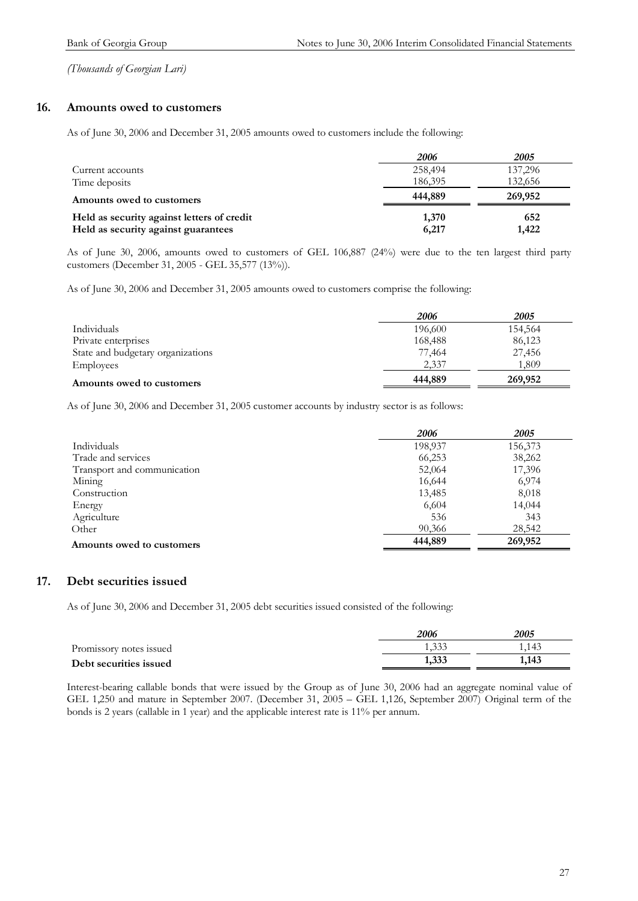### **16. Amounts owed to customers**

As of June 30, 2006 and December 31, 2005 amounts owed to customers include the following:

|                                            | 2006    | 2005    |
|--------------------------------------------|---------|---------|
| Current accounts                           | 258,494 | 137,296 |
| Time deposits                              | 186,395 | 132.656 |
| Amounts owed to customers                  | 444,889 | 269,952 |
| Held as security against letters of credit | 1,370   | 652     |
| Held as security against guarantees        | 6,217   | 1,422   |

As of June 30, 2006, amounts owed to customers of GEL 106,887 (24%) were due to the ten largest third party customers (December 31, 2005 - GEL 35,577 (13%)).

As of June 30, 2006 and December 31, 2005 amounts owed to customers comprise the following:

|                                   | 2006    | <i>2005</i> |
|-----------------------------------|---------|-------------|
| Individuals                       | 196,600 | 154,564     |
| Private enterprises               | 168,488 | 86,123      |
| State and budgetary organizations | 77,464  | 27,456      |
| Employees                         | 2,337   | 1.809       |
| Amounts owed to customers         | 444,889 | 269,952     |

As of June 30, 2006 and December 31, 2005 customer accounts by industry sector is as follows:

|                             | 2006    | 2005    |
|-----------------------------|---------|---------|
| Individuals                 | 198,937 | 156,373 |
| Trade and services          | 66,253  | 38,262  |
| Transport and communication | 52,064  | 17,396  |
| Mining                      | 16,644  | 6,974   |
| Construction                | 13,485  | 8,018   |
| Energy                      | 6,604   | 14,044  |
| Agriculture                 | 536     | 343     |
| Other                       | 90,366  | 28,542  |
| Amounts owed to customers   | 444,889 | 269,952 |

### **17. Debt securities issued**

As of June 30, 2006 and December 31, 2005 debt securities issued consisted of the following:

|                         | 2006           | 2005  |
|-------------------------|----------------|-------|
| Promissory notes issued | 1.332<br>1.JJJ | 1,143 |
| Debt securities issued  | 1,333          | 1,143 |

Interest-bearing callable bonds that were issued by the Group as of June 30, 2006 had an aggregate nominal value of GEL 1,250 and mature in September 2007. (December 31, 2005 – GEL 1,126, September 2007) Original term of the bonds is 2 years (callable in 1 year) and the applicable interest rate is 11% per annum.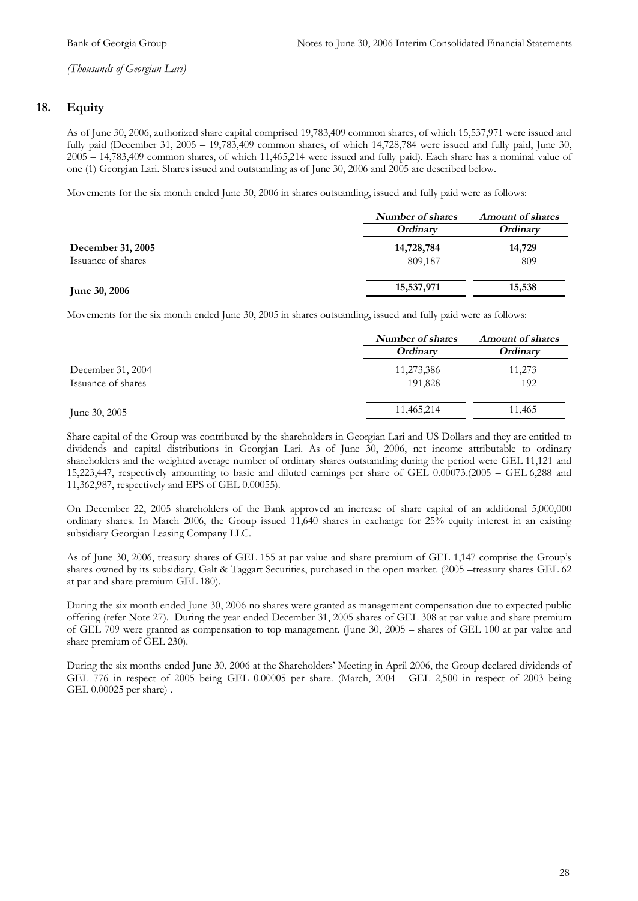### **18. Equity**

As of June 30, 2006, authorized share capital comprised 19,783,409 common shares, of which 15,537,971 were issued and fully paid (December 31, 2005 – 19,783,409 common shares, of which 14,728,784 were issued and fully paid, June 30, 2005 – 14,783,409 common shares, of which 11,465,214 were issued and fully paid). Each share has a nominal value of one (1) Georgian Lari. Shares issued and outstanding as of June 30, 2006 and 2005 are described below.

Movements for the six month ended June 30, 2006 in shares outstanding, issued and fully paid were as follows:

|                                         | <b>Number of shares</b> | <b>Amount of shares</b> |
|-----------------------------------------|-------------------------|-------------------------|
|                                         | Ordinary                | <i><b>Ordinary</b></i>  |
| December 31, 2005<br>Issuance of shares | 14,728,784<br>809,187   | 14,729<br>809           |
| <b>June 30, 2006</b>                    | 15,537,971              | 15,538                  |

Movements for the six month ended June 30, 2005 in shares outstanding, issued and fully paid were as follows:

|                    | Number of shares<br>Ordinary | <b>Amount of shares</b> |
|--------------------|------------------------------|-------------------------|
|                    |                              | <i><b>Ordinary</b></i>  |
| December 31, 2004  | 11,273,386                   | 11,273                  |
| Issuance of shares | 191,828                      | 192                     |
| June 30, 2005      | 11,465,214                   | 11,465                  |
|                    |                              |                         |

Share capital of the Group was contributed by the shareholders in Georgian Lari and US Dollars and they are entitled to dividends and capital distributions in Georgian Lari. As of June 30, 2006, net income attributable to ordinary shareholders and the weighted average number of ordinary shares outstanding during the period were GEL 11,121 and 15,223,447, respectively amounting to basic and diluted earnings per share of GEL 0.00073.(2005 – GEL 6,288 and 11,362,987, respectively and EPS of GEL 0.00055).

On December 22, 2005 shareholders of the Bank approved an increase of share capital of an additional 5,000,000 ordinary shares. In March 2006, the Group issued 11,640 shares in exchange for 25% equity interest in an existing subsidiary Georgian Leasing Company LLC.

As of June 30, 2006, treasury shares of GEL 155 at par value and share premium of GEL 1,147 comprise the Group's shares owned by its subsidiary, Galt & Taggart Securities, purchased in the open market. (2005 –treasury shares GEL 62 at par and share premium GEL 180).

During the six month ended June 30, 2006 no shares were granted as management compensation due to expected public offering (refer Note 27). During the year ended December 31, 2005 shares of GEL 308 at par value and share premium of GEL 709 were granted as compensation to top management. (June 30, 2005 – shares of GEL 100 at par value and share premium of GEL 230).

During the six months ended June 30, 2006 at the Shareholders' Meeting in April 2006, the Group declared dividends of GEL 776 in respect of 2005 being GEL 0.00005 per share. (March, 2004 - GEL 2,500 in respect of 2003 being GEL 0.00025 per share) .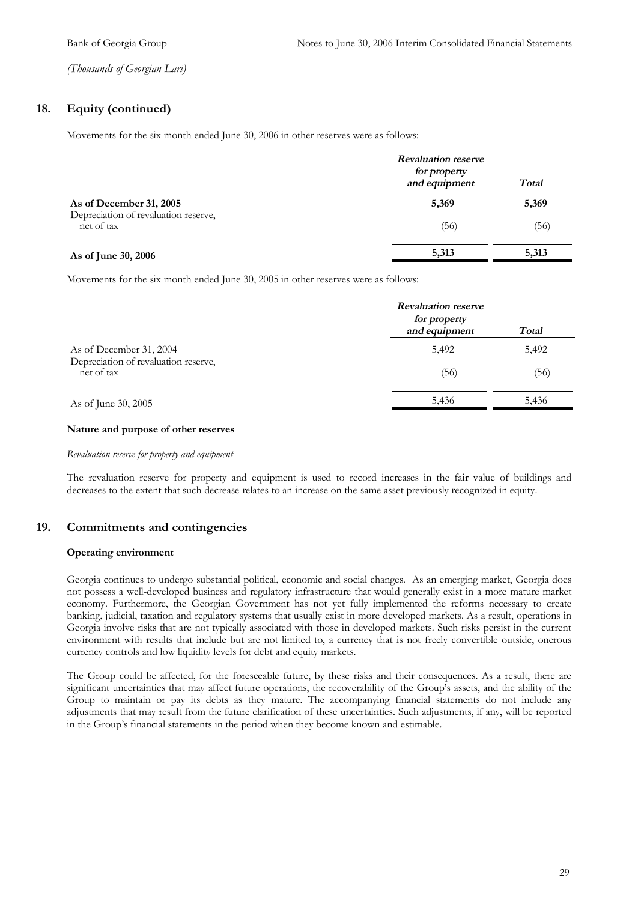### **18. Equity (continued)**

Movements for the six month ended June 30, 2006 in other reserves were as follows:

|                                                    | <b>Revaluation reserve</b><br>for property<br>and equipment<br>Total |       |
|----------------------------------------------------|----------------------------------------------------------------------|-------|
| As of December 31, 2005                            | 5,369                                                                | 5,369 |
| Depreciation of revaluation reserve,<br>net of tax | (56)                                                                 | (56)  |
| As of June 30, 2006                                | 5,313                                                                | 5,313 |

Movements for the six month ended June 30, 2005 in other reserves were as follows:

|                                                    | <b>Revaluation reserve</b><br>for property<br>and equipment<br>Total |       |
|----------------------------------------------------|----------------------------------------------------------------------|-------|
| As of December 31, 2004                            | 5,492                                                                | 5,492 |
| Depreciation of revaluation reserve,<br>net of tax | (56)                                                                 | (56)  |
| As of June 30, 2005                                | 5,436                                                                | 5,436 |

#### **Nature and purpose of other reserves**

#### *Revaluation reserve for property and equipment*

The revaluation reserve for property and equipment is used to record increases in the fair value of buildings and decreases to the extent that such decrease relates to an increase on the same asset previously recognized in equity.

### **19. Commitments and contingencies**

#### **Operating environment**

Georgia continues to undergo substantial political, economic and social changes. As an emerging market, Georgia does not possess a well-developed business and regulatory infrastructure that would generally exist in a more mature market economy. Furthermore, the Georgian Government has not yet fully implemented the reforms necessary to create banking, judicial, taxation and regulatory systems that usually exist in more developed markets. As a result, operations in Georgia involve risks that are not typically associated with those in developed markets. Such risks persist in the current environment with results that include but are not limited to, a currency that is not freely convertible outside, onerous currency controls and low liquidity levels for debt and equity markets.

The Group could be affected, for the foreseeable future, by these risks and their consequences. As a result, there are significant uncertainties that may affect future operations, the recoverability of the Group's assets, and the ability of the Group to maintain or pay its debts as they mature. The accompanying financial statements do not include any adjustments that may result from the future clarification of these uncertainties. Such adjustments, if any, will be reported in the Group's financial statements in the period when they become known and estimable.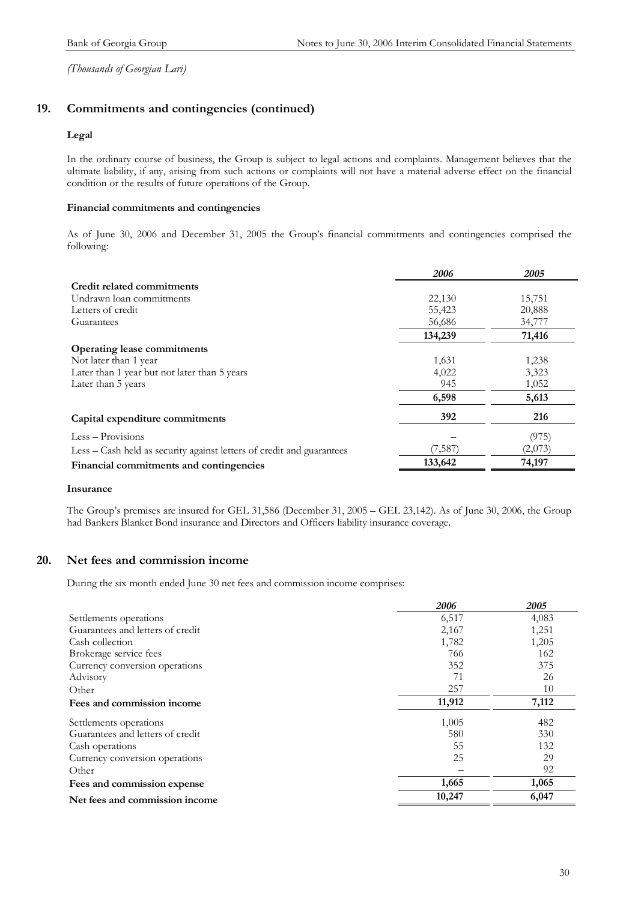### **19. Commitments and contingencies (continued)**

#### **Legal**

In the ordinary course of business, the Group is subject to legal actions and complaints. Management believes that the ultimate liability, if any, arising from such actions or complaints will not have a material adverse effect on the financial condition or the results of future operations of the Group.

#### **Financial commitments and contingencies**

As of June 30, 2006 and December 31, 2005 the Group's financial commitments and contingencies comprised the following:

|                                                                       | 2006    | 2005    |
|-----------------------------------------------------------------------|---------|---------|
| Credit related commitments                                            |         |         |
| Undrawn loan commitments                                              | 22,130  | 15,751  |
| Letters of credit                                                     | 55,423  | 20,888  |
| Guarantees                                                            | 56,686  | 34,777  |
|                                                                       | 134,239 | 71,416  |
| <b>Operating lease commitments</b>                                    |         |         |
| Not later than 1 year                                                 | 1,631   | 1,238   |
| Later than 1 year but not later than 5 years                          | 4,022   | 3,323   |
| Later than 5 years                                                    | 945     | 1,052   |
|                                                                       | 6,598   | 5,613   |
| Capital expenditure commitments                                       | 392     | 216     |
| $Less - Provisions$                                                   |         | (975)   |
| Less – Cash held as security against letters of credit and guarantees | (7,587) | (2,073) |
| Financial commitments and contingencies                               | 133,642 | 74,197  |

#### **Insurance**

The Group's premises are insured for GEL 31,586 (December 31, 2005 – GEL 23,142). As of June 30, 2006, the Group had Bankers Blanket Bond insurance and Directors and Officers liability insurance coverage.

#### **20. Net fees and commission income**

During the six month ended June 30 net fees and commission income comprises:

|                                  | 2006   | 2005  |
|----------------------------------|--------|-------|
| Settlements operations           | 6,517  | 4,083 |
| Guarantees and letters of credit | 2,167  | 1,251 |
| Cash collection                  | 1,782  | 1,205 |
| Brokerage service fees           | 766    | 162   |
| Currency conversion operations   | 352    | 375   |
| Advisory                         | 71     | 26    |
| Other                            | 257    | 10    |
| Fees and commission income       | 11,912 | 7,112 |
| Settlements operations           | 1,005  | 482   |
| Guarantees and letters of credit | 580    | 330   |
| Cash operations                  | 55     | 132   |
| Currency conversion operations   | 25     | 29    |
| Other                            |        | 92    |
| Fees and commission expense      | 1,665  | 1,065 |
| Net fees and commission income   | 10,247 | 6,047 |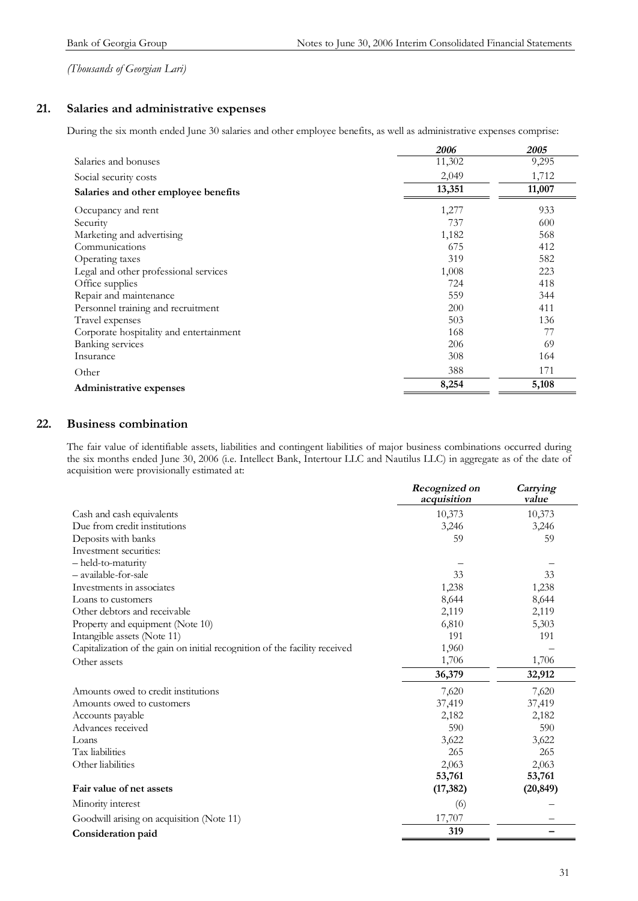### **21. Salaries and administrative expenses**

During the six month ended June 30 salaries and other employee benefits, as well as administrative expenses comprise:

|                                         | 2006   | 2005   |
|-----------------------------------------|--------|--------|
| Salaries and bonuses                    | 11,302 | 9,295  |
| Social security costs                   | 2,049  | 1,712  |
| Salaries and other employee benefits    | 13,351 | 11,007 |
| Occupancy and rent                      | 1,277  | 933    |
| Security                                | 737    | 600    |
| Marketing and advertising               | 1,182  | 568    |
| Communications                          | 675    | 412    |
| Operating taxes                         | 319    | 582    |
| Legal and other professional services   | 1,008  | 223    |
| Office supplies                         | 724    | 418    |
| Repair and maintenance                  | 559    | 344    |
| Personnel training and recruitment      | 200    | 411    |
| Travel expenses                         | 503    | 136    |
| Corporate hospitality and entertainment | 168    | 77     |
| <b>Banking services</b>                 | 206    | 69     |
| Insurance                               | 308    | 164    |
| Other                                   | 388    | 171    |
| Administrative expenses                 | 8,254  | 5,108  |

### **22. Business combination**

The fair value of identifiable assets, liabilities and contingent liabilities of major business combinations occurred during the six months ended June 30, 2006 (i.e. Intellect Bank, Intertour LLC and Nautilus LLC) in aggregate as of the date of acquisition were provisionally estimated at:

|                                                                            | Recognized on<br>acquisition | Carrying<br>value |
|----------------------------------------------------------------------------|------------------------------|-------------------|
| Cash and cash equivalents                                                  | 10,373                       | 10,373            |
| Due from credit institutions                                               | 3,246                        | 3,246             |
| Deposits with banks                                                        | 59                           | 59                |
| Investment securities:                                                     |                              |                   |
| - held-to-maturity                                                         |                              |                   |
| - available-for-sale                                                       | 33                           | 33                |
| Investments in associates                                                  | 1,238                        | 1,238             |
| Loans to customers                                                         | 8,644                        | 8,644             |
| Other debtors and receivable                                               | 2,119                        | 2,119             |
| Property and equipment (Note 10)                                           | 6,810                        | 5,303             |
| Intangible assets (Note 11)                                                | 191                          | 191               |
| Capitalization of the gain on initial recognition of the facility received | 1,960                        |                   |
| Other assets                                                               | 1,706                        | 1,706             |
|                                                                            | 36,379                       | 32,912            |
| Amounts owed to credit institutions                                        | 7,620                        | 7,620             |
| Amounts owed to customers                                                  | 37,419                       | 37,419            |
| Accounts payable                                                           | 2,182                        | 2,182             |
| Advances received                                                          | 590                          | 590               |
| Loans                                                                      | 3,622                        | 3,622             |
| Tax liabilities                                                            | 265                          | 265               |
| Other liabilities                                                          | 2,063                        | 2,063             |
|                                                                            | 53,761                       | 53,761            |
| Fair value of net assets                                                   | (17, 382)                    | (20, 849)         |
| Minority interest                                                          | (6)                          |                   |
| Goodwill arising on acquisition (Note 11)                                  | 17,707                       |                   |
| Consideration paid                                                         | 319                          |                   |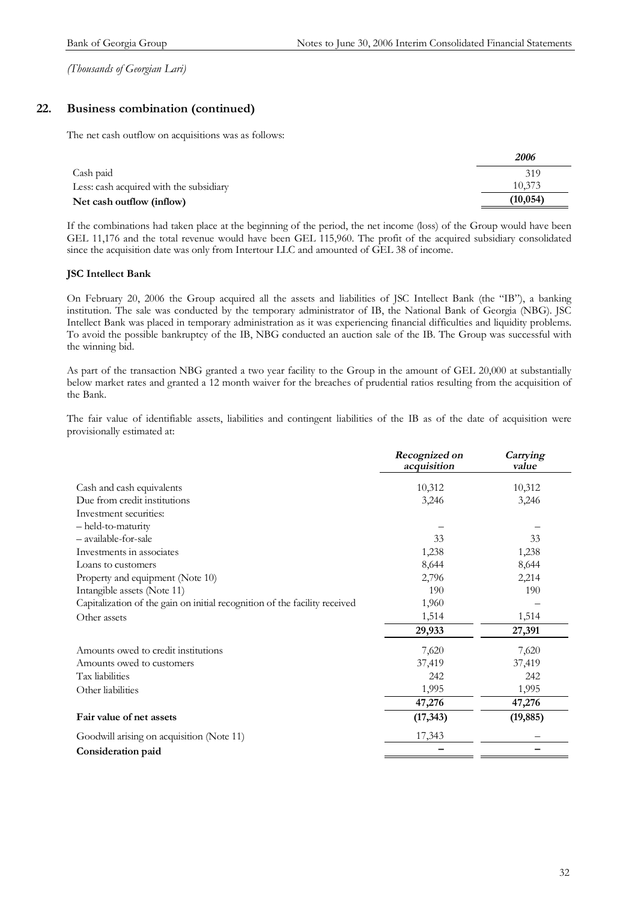### **22. Business combination (continued)**

The net cash outflow on acquisitions was as follows:

|                                         | 2006      |
|-----------------------------------------|-----------|
| Cash paid                               | 319       |
| Less: cash acquired with the subsidiary | 10.373    |
| Net cash outflow (inflow)               | (10, 054) |

If the combinations had taken place at the beginning of the period, the net income (loss) of the Group would have been GEL 11,176 and the total revenue would have been GEL 115,960. The profit of the acquired subsidiary consolidated since the acquisition date was only from Intertour LLC and amounted of GEL 38 of income.

#### **JSC Intellect Bank**

On February 20, 2006 the Group acquired all the assets and liabilities of JSC Intellect Bank (the "IB"), a banking institution. The sale was conducted by the temporary administrator of IB, the National Bank of Georgia (NBG). JSC Intellect Bank was placed in temporary administration as it was experiencing financial difficulties and liquidity problems. To avoid the possible bankruptcy of the IB, NBG conducted an auction sale of the IB. The Group was successful with the winning bid.

As part of the transaction NBG granted a two year facility to the Group in the amount of GEL 20,000 at substantially below market rates and granted a 12 month waiver for the breaches of prudential ratios resulting from the acquisition of the Bank.

The fair value of identifiable assets, liabilities and contingent liabilities of the IB as of the date of acquisition were provisionally estimated at:

|                                                                            | Recognized on<br>acquisition | Carrying<br>value |
|----------------------------------------------------------------------------|------------------------------|-------------------|
| Cash and cash equivalents                                                  | 10,312                       | 10,312            |
| Due from credit institutions                                               | 3,246                        | 3,246             |
| Investment securities:                                                     |                              |                   |
| - held-to-maturity                                                         |                              |                   |
| - available-for-sale                                                       | 33                           | 33                |
| Investments in associates                                                  | 1,238                        | 1,238             |
| Loans to customers                                                         | 8,644                        | 8,644             |
| Property and equipment (Note 10)                                           | 2,796                        | 2,214             |
| Intangible assets (Note 11)                                                | 190                          | 190               |
| Capitalization of the gain on initial recognition of the facility received | 1,960                        |                   |
| Other assets                                                               | 1,514                        | 1,514             |
|                                                                            | 29,933                       | 27,391            |
| Amounts owed to credit institutions                                        | 7,620                        | 7,620             |
| Amounts owed to customers                                                  | 37,419                       | 37,419            |
| Tax liabilities                                                            | 242                          | 242               |
| Other liabilities                                                          | 1,995                        | 1,995             |
|                                                                            | 47,276                       | 47,276            |
| Fair value of net assets                                                   | (17, 343)                    | (19, 885)         |
| Goodwill arising on acquisition (Note 11)                                  | 17,343                       |                   |
| Consideration paid                                                         |                              |                   |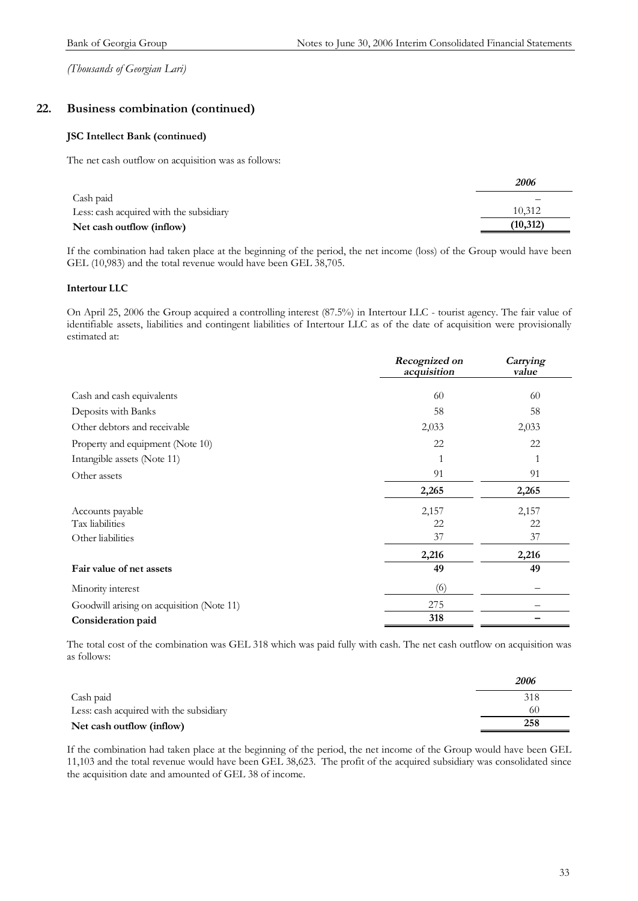### **22. Business combination (continued)**

#### **JSC Intellect Bank (continued)**

The net cash outflow on acquisition was as follows:

|                                         | 2006     |
|-----------------------------------------|----------|
| Cash paid                               |          |
| Less: cash acquired with the subsidiary | 10.312   |
| Net cash outflow (inflow)               | (10,312) |

If the combination had taken place at the beginning of the period, the net income (loss) of the Group would have been GEL (10,983) and the total revenue would have been GEL 38,705.

#### **Intertour LLC**

On April 25, 2006 the Group acquired a controlling interest (87.5%) in Intertour LLC - tourist agency. The fair value of identifiable assets, liabilities and contingent liabilities of Intertour LLC as of the date of acquisition were provisionally estimated at:

|                                           | Recognized on<br>acquisition | Carrying<br>value |
|-------------------------------------------|------------------------------|-------------------|
| Cash and cash equivalents                 | 60                           | 60                |
| Deposits with Banks                       | 58                           | 58                |
| Other debtors and receivable              | 2,033                        | 2,033             |
| Property and equipment (Note 10)          | 22                           | 22                |
| Intangible assets (Note 11)               |                              |                   |
| Other assets                              | 91                           | 91                |
|                                           | 2,265                        | 2,265             |
| Accounts payable                          | 2,157                        | 2,157             |
| Tax liabilities                           | 22                           | 22                |
| Other liabilities                         | 37                           | 37                |
|                                           | 2,216                        | 2,216             |
| Fair value of net assets                  | 49                           | 49                |
| Minority interest                         | (6)                          |                   |
| Goodwill arising on acquisition (Note 11) | 275                          |                   |
| Consideration paid                        | 318                          |                   |

The total cost of the combination was GEL 318 which was paid fully with cash. The net cash outflow on acquisition was as follows:

|                                         | 2006 |
|-----------------------------------------|------|
| Cash paid                               | 318  |
| Less: cash acquired with the subsidiary | 60   |
| Net cash outflow (inflow)               | 258  |

If the combination had taken place at the beginning of the period, the net income of the Group would have been GEL 11,103 and the total revenue would have been GEL 38,623. The profit of the acquired subsidiary was consolidated since the acquisition date and amounted of GEL 38 of income.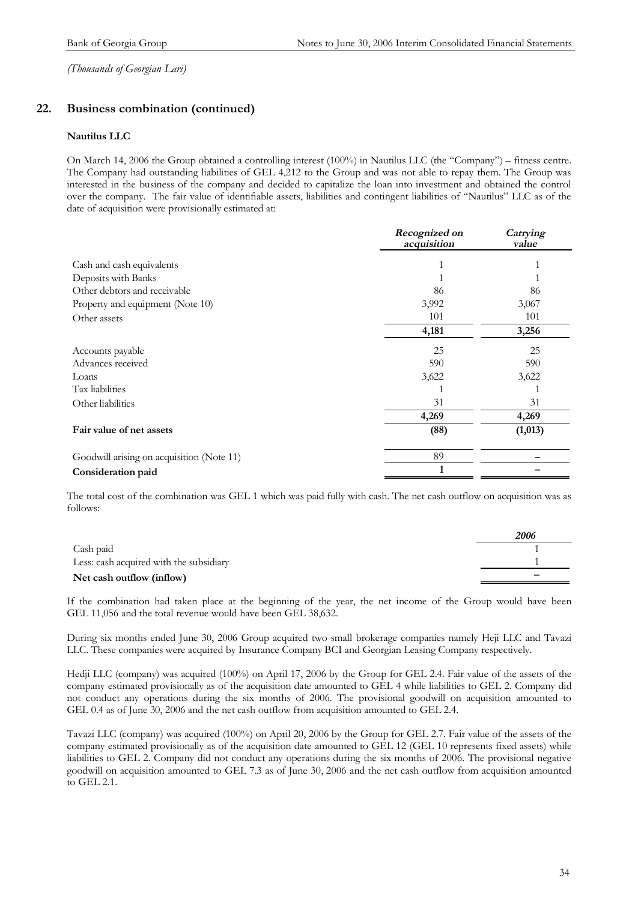### **22. Business combination (continued)**

#### **Nautilus LLC**

On March 14, 2006 the Group obtained a controlling interest (100%) in Nautilus LLC (the "Company") – fitness centre. The Company had outstanding liabilities of GEL 4,212 to the Group and was not able to repay them. The Group was interested in the business of the company and decided to capitalize the loan into investment and obtained the control over the company. The fair value of identifiable assets, liabilities and contingent liabilities of "Nautilus" LLC as of the date of acquisition were provisionally estimated at:

|                                           | Recognized on<br>acquisition | Carrying<br>value |
|-------------------------------------------|------------------------------|-------------------|
| Cash and cash equivalents                 |                              |                   |
| Deposits with Banks                       |                              |                   |
| Other debtors and receivable              | 86                           | 86                |
| Property and equipment (Note 10)          | 3,992                        | 3,067             |
| Other assets                              | 101                          | 101               |
|                                           | 4,181                        | 3,256             |
| Accounts payable                          | 25                           | 25                |
| Advances received                         | 590                          | 590               |
| Loans                                     | 3,622                        | 3,622             |
| Tax liabilities                           |                              |                   |
| Other liabilities                         | 31                           | 31                |
|                                           | 4,269                        | 4,269             |
| Fair value of net assets                  | (88)                         | (1,013)           |
| Goodwill arising on acquisition (Note 11) | 89                           |                   |
| Consideration paid                        | 1                            |                   |

The total cost of the combination was GEL 1 which was paid fully with cash. The net cash outflow on acquisition was as follows:

|                                         | 2006 |
|-----------------------------------------|------|
| Cash paid                               |      |
| Less: cash acquired with the subsidiary |      |
| Net cash outflow (inflow)               |      |

If the combination had taken place at the beginning of the year, the net income of the Group would have been GEL 11,056 and the total revenue would have been GEL 38,632.

During six months ended June 30, 2006 Group acquired two small brokerage companies namely Heji LLC and Tavazi LLC. These companies were acquired by Insurance Company BCI and Georgian Leasing Company respectively.

Hedji LLC (company) was acquired (100%) on April 17, 2006 by the Group for GEL 2.4. Fair value of the assets of the company estimated provisionally as of the acquisition date amounted to GEL 4 while liabilities to GEL 2. Company did not conduct any operations during the six months of 2006. The provisional goodwill on acquisition amounted to GEL 0.4 as of June 30, 2006 and the net cash outflow from acquisition amounted to GEL 2.4.

Tavazi LLC (company) was acquired (100%) on April 20, 2006 by the Group for GEL 2.7. Fair value of the assets of the company estimated provisionally as of the acquisition date amounted to GEL 12 (GEL 10 represents fixed assets) while liabilities to GEL 2. Company did not conduct any operations during the six months of 2006. The provisional negative goodwill on acquisition amounted to GEL 7.3 as of June 30, 2006 and the net cash outflow from acquisition amounted to GEL 2.1.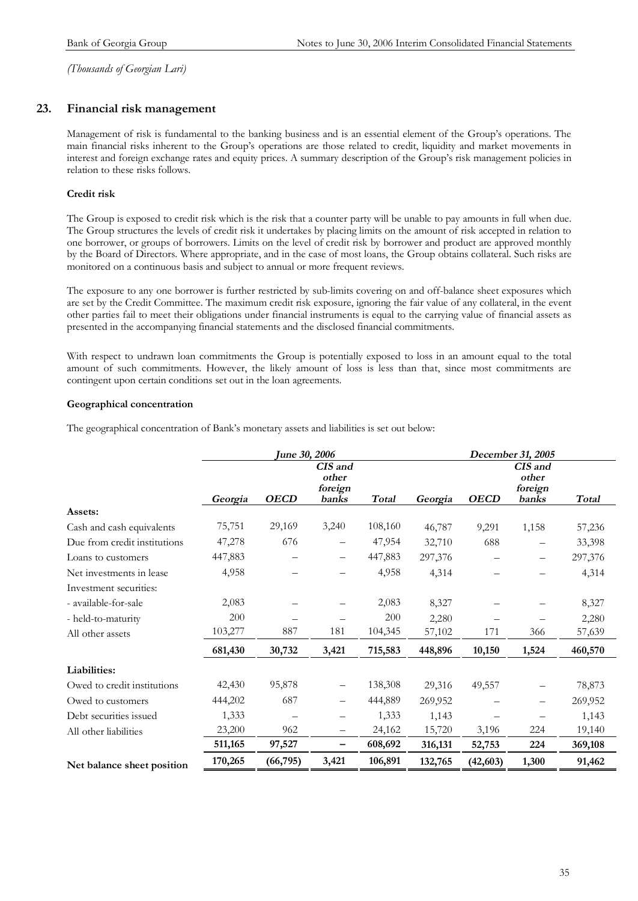### **23. Financial risk management**

Management of risk is fundamental to the banking business and is an essential element of the Group's operations. The main financial risks inherent to the Group's operations are those related to credit, liquidity and market movements in interest and foreign exchange rates and equity prices. A summary description of the Group's risk management policies in relation to these risks follows.

#### **Credit risk**

The Group is exposed to credit risk which is the risk that a counter party will be unable to pay amounts in full when due. The Group structures the levels of credit risk it undertakes by placing limits on the amount of risk accepted in relation to one borrower, or groups of borrowers. Limits on the level of credit risk by borrower and product are approved monthly by the Board of Directors. Where appropriate, and in the case of most loans, the Group obtains collateral. Such risks are monitored on a continuous basis and subject to annual or more frequent reviews.

The exposure to any one borrower is further restricted by sub-limits covering on and off-balance sheet exposures which are set by the Credit Committee. The maximum credit risk exposure, ignoring the fair value of any collateral, in the event other parties fail to meet their obligations under financial instruments is equal to the carrying value of financial assets as presented in the accompanying financial statements and the disclosed financial commitments.

With respect to undrawn loan commitments the Group is potentially exposed to loss in an amount equal to the total amount of such commitments. However, the likely amount of loss is less than that, since most commitments are contingent upon certain conditions set out in the loan agreements.

#### **Geographical concentration**

The geographical concentration of Bank's monetary assets and liabilities is set out below:

|                              | <b>June 30, 2006</b> |             |                                      |              | December 31, 2005 |             |                                      |              |
|------------------------------|----------------------|-------------|--------------------------------------|--------------|-------------------|-------------|--------------------------------------|--------------|
|                              | Georgia              | <b>OECD</b> | CIS and<br>other<br>foreign<br>banks | <b>Total</b> | Georgia           | <b>OECD</b> | CIS and<br>other<br>foreign<br>banks | <b>Total</b> |
| Assets:                      |                      |             |                                      |              |                   |             |                                      |              |
| Cash and cash equivalents    | 75,751               | 29,169      | 3,240                                | 108,160      | 46,787            | 9,291       | 1,158                                | 57,236       |
| Due from credit institutions | 47,278               | 676         |                                      | 47,954       | 32,710            | 688         |                                      | 33,398       |
| Loans to customers           | 447,883              |             | —                                    | 447,883      | 297,376           |             |                                      | 297,376      |
| Net investments in lease     | 4,958                |             |                                      | 4,958        | 4,314             |             |                                      | 4,314        |
| Investment securities:       |                      |             |                                      |              |                   |             |                                      |              |
| - available-for-sale         | 2,083                |             |                                      | 2,083        | 8,327             |             |                                      | 8,327        |
| - held-to-maturity           | 200                  |             |                                      | 200          | 2,280             |             |                                      | 2,280        |
| All other assets             | 103,277              | 887         | 181                                  | 104,345      | 57,102            | 171         | 366                                  | 57,639       |
|                              | 681,430              | 30,732      | 3,421                                | 715,583      | 448,896           | 10,150      | 1,524                                | 460,570      |
| Liabilities:                 |                      |             |                                      |              |                   |             |                                      |              |
| Owed to credit institutions  | 42,430               | 95,878      | —                                    | 138,308      | 29,316            | 49,557      |                                      | 78,873       |
| Owed to customers            | 444,202              | 687         | $\overline{\phantom{0}}$             | 444,889      | 269,952           |             |                                      | 269,952      |
| Debt securities issued       | 1,333                |             | —                                    | 1,333        | 1,143             |             |                                      | 1,143        |
| All other liabilities        | 23,200               | 962         | $\overline{\phantom{0}}$             | 24,162       | 15,720            | 3,196       | 224                                  | 19,140       |
|                              | 511,165              | 97,527      | -                                    | 608,692      | 316,131           | 52,753      | 224                                  | 369,108      |
| Net balance sheet position   | 170,265              | (66, 795)   | 3,421                                | 106,891      | 132,765           | (42, 603)   | 1,300                                | 91,462       |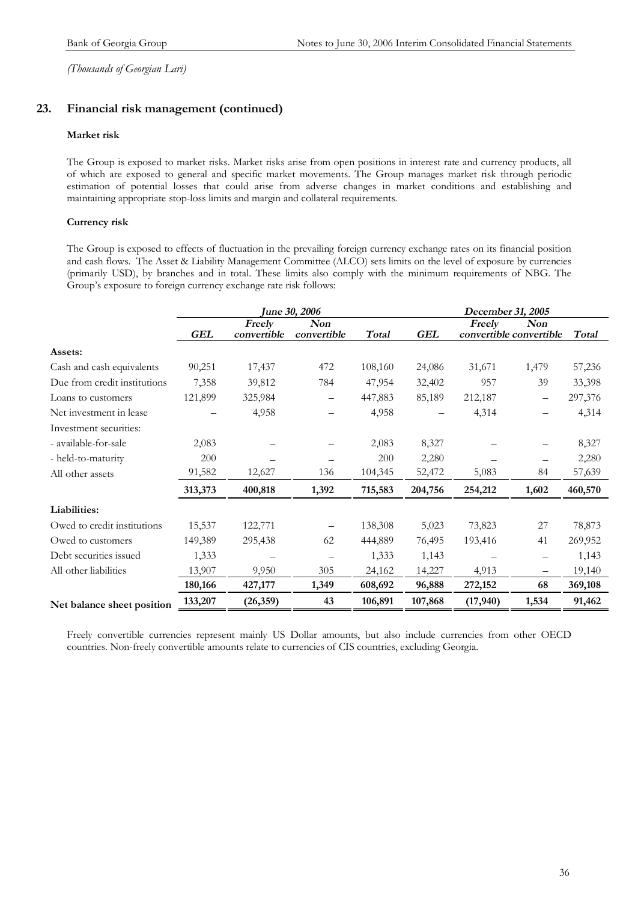### **23. Financial risk management (continued)**

### **Market risk**

The Group is exposed to market risks. Market risks arise from open positions in interest rate and currency products, all of which are exposed to general and specific market movements. The Group manages market risk through periodic estimation of potential losses that could arise from adverse changes in market conditions and establishing and maintaining appropriate stop-loss limits and margin and collateral requirements.

### **Currency risk**

The Group is exposed to effects of fluctuation in the prevailing foreign currency exchange rates on its financial position and cash flows. The Asset & Liability Management Committee (ALCO) sets limits on the level of exposure by currencies (primarily USD), by branches and in total. These limits also comply with the minimum requirements of NBG. The Group's exposure to foreign currency exchange rate risk follows:

|                              | <b>June 30, 2006</b> |                       |                    |         | December 31, 2005 |          |                                       |              |
|------------------------------|----------------------|-----------------------|--------------------|---------|-------------------|----------|---------------------------------------|--------------|
|                              | GEL                  | Freely<br>convertible | Non<br>convertible | Total   | GEL               | Freely   | <b>Non</b><br>convertible convertible | <b>Total</b> |
| Assets:                      |                      |                       |                    |         |                   |          |                                       |              |
| Cash and cash equivalents    | 90,251               | 17,437                | 472                | 108,160 | 24,086            | 31,671   | 1,479                                 | 57,236       |
| Due from credit institutions | 7,358                | 39,812                | 784                | 47,954  | 32,402            | 957      | 39                                    | 33,398       |
| Loans to customers           | 121,899              | 325,984               |                    | 447,883 | 85,189            | 212,187  | -                                     | 297,376      |
| Net investment in lease      |                      | 4,958                 |                    | 4,958   |                   | 4,314    |                                       | 4,314        |
| Investment securities:       |                      |                       |                    |         |                   |          |                                       |              |
| - available-for-sale         | 2,083                |                       |                    | 2,083   | 8,327             |          |                                       | 8,327        |
| - held-to-maturity           | 200                  |                       |                    | 200     | 2,280             |          |                                       | 2,280        |
| All other assets             | 91,582               | 12,627                | 136                | 104,345 | 52,472            | 5,083    | 84                                    | 57,639       |
|                              | 313,373              | 400,818               | 1,392              | 715,583 | 204,756           | 254,212  | 1,602                                 | 460,570      |
| Liabilities:                 |                      |                       |                    |         |                   |          |                                       |              |
| Owed to credit institutions  | 15,537               | 122,771               |                    | 138,308 | 5,023             | 73,823   | 27                                    | 78,873       |
| Owed to customers            | 149,389              | 295,438               | 62                 | 444,889 | 76,495            | 193,416  | 41                                    | 269,952      |
| Debt securities issued       | 1,333                |                       |                    | 1,333   | 1,143             |          |                                       | 1,143        |
| All other liabilities        | 13,907               | 9,950                 | 305                | 24,162  | 14,227            | 4,913    | $\overline{\phantom{0}}$              | 19,140       |
|                              | 180,166              | 427,177               | 1,349              | 608,692 | 96,888            | 272,152  | 68                                    | 369,108      |
| Net balance sheet position   | 133,207              | (26,359)              | 43                 | 106,891 | 107,868           | (17,940) | 1,534                                 | 91,462       |

Freely convertible currencies represent mainly US Dollar amounts, but also include currencies from other OECD countries. Non-freely convertible amounts relate to currencies of CIS countries, excluding Georgia.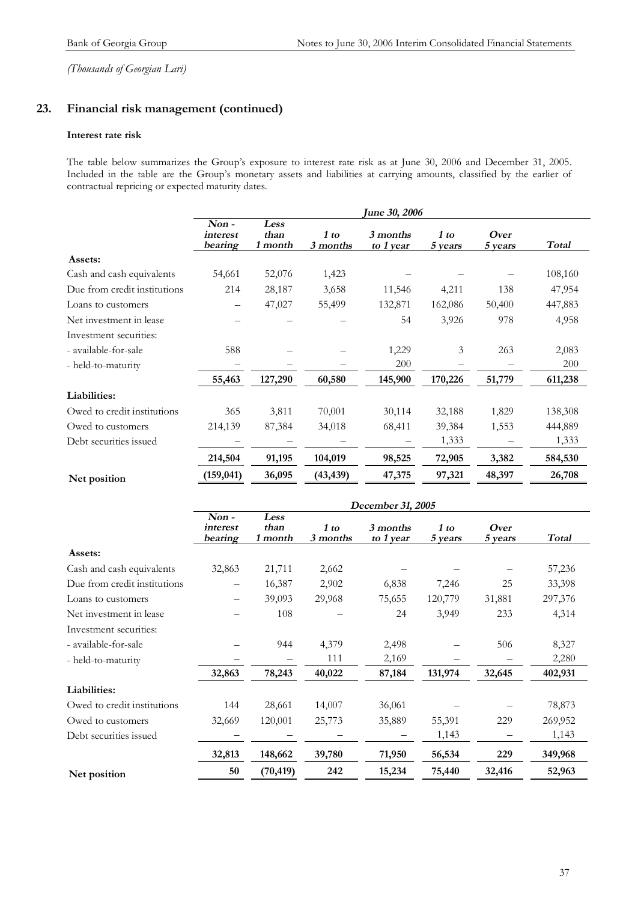### **23. Financial risk management (continued)**

#### **Interest rate risk**

The table below summarizes the Group's exposure to interest rate risk as at June 30, 2006 and December 31, 2005. Included in the table are the Group's monetary assets and liabilities at carrying amounts, classified by the earlier of contractual repricing or expected maturity dates.

|                              |                                |                         |                  | <b>June 30, 2006</b>  |                 |                 |              |
|------------------------------|--------------------------------|-------------------------|------------------|-----------------------|-----------------|-----------------|--------------|
|                              | $Non -$<br>interest<br>bearing | Less<br>than<br>1 month | 1 to<br>3 months | 3 months<br>to 1 year | 1 to<br>5 years | Over<br>5 years | <b>Total</b> |
| Assets:                      |                                |                         |                  |                       |                 |                 |              |
| Cash and cash equivalents    | 54,661                         | 52,076                  | 1,423            |                       |                 |                 | 108,160      |
| Due from credit institutions | 214                            | 28,187                  | 3,658            | 11,546                | 4,211           | 138             | 47,954       |
| Loans to customers           |                                | 47,027                  | 55,499           | 132,871               | 162,086         | 50,400          | 447,883      |
| Net investment in lease      |                                |                         |                  | 54                    | 3,926           | 978             | 4,958        |
| Investment securities:       |                                |                         |                  |                       |                 |                 |              |
| - available-for-sale         | 588                            |                         |                  | 1,229                 | 3               | 263             | 2,083        |
| - held-to-maturity           |                                |                         |                  | 200                   |                 |                 | 200          |
|                              | 55,463                         | 127,290                 | 60,580           | 145,900               | 170,226         | 51,779          | 611,238      |
| Liabilities:                 |                                |                         |                  |                       |                 |                 |              |
| Owed to credit institutions  | 365                            | 3,811                   | 70,001           | 30,114                | 32,188          | 1,829           | 138,308      |
| Owed to customers            | 214,139                        | 87,384                  | 34,018           | 68,411                | 39,384          | 1,553           | 444,889      |
| Debt securities issued       |                                |                         |                  |                       | 1,333           |                 | 1,333        |
|                              | 214,504                        | 91,195                  | 104,019          | 98,525                | 72,905          | 3,382           | 584,530      |
| Net position                 | (159, 041)                     | 36,095                  | (43, 439)        | 47,375                | 97,321          | 48,397          | 26,708       |

|                              | December 31, 2005              |                         |                  |                       |                 |                 |              |  |
|------------------------------|--------------------------------|-------------------------|------------------|-----------------------|-----------------|-----------------|--------------|--|
|                              | $Non -$<br>interest<br>bearing | Less<br>than<br>1 month | 1 to<br>3 months | 3 months<br>to 1 year | 1 to<br>5 years | Over<br>5 years | <b>Total</b> |  |
| Assets:                      |                                |                         |                  |                       |                 |                 |              |  |
| Cash and cash equivalents    | 32,863                         | 21,711                  | 2,662            |                       |                 |                 | 57,236       |  |
| Due from credit institutions |                                | 16,387                  | 2,902            | 6,838                 | 7,246           | 25              | 33,398       |  |
| Loans to customers           |                                | 39,093                  | 29,968           | 75,655                | 120,779         | 31,881          | 297,376      |  |
| Net investment in lease      |                                | 108                     |                  | 24                    | 3,949           | 233             | 4,314        |  |
| Investment securities:       |                                |                         |                  |                       |                 |                 |              |  |
| - available-for-sale         |                                | 944                     | 4,379            | 2,498                 |                 | 506             | 8,327        |  |
| - held-to-maturity           |                                |                         | 111              | 2,169                 |                 |                 | 2,280        |  |
|                              | 32,863                         | 78,243                  | 40,022           | 87,184                | 131,974         | 32,645          | 402,931      |  |
| Liabilities:                 |                                |                         |                  |                       |                 |                 |              |  |
| Owed to credit institutions  | 144                            | 28,661                  | 14,007           | 36,061                |                 |                 | 78,873       |  |
| Owed to customers            | 32,669                         | 120,001                 | 25,773           | 35,889                | 55,391          | 229             | 269,952      |  |
| Debt securities issued       |                                |                         |                  |                       | 1,143           |                 | 1,143        |  |
|                              | 32,813                         | 148,662                 | 39,780           | 71,950                | 56,534          | 229             | 349,968      |  |
| Net position                 | 50                             | (70, 419)               | 242              | 15,234                | 75,440          | 32,416          | 52,963       |  |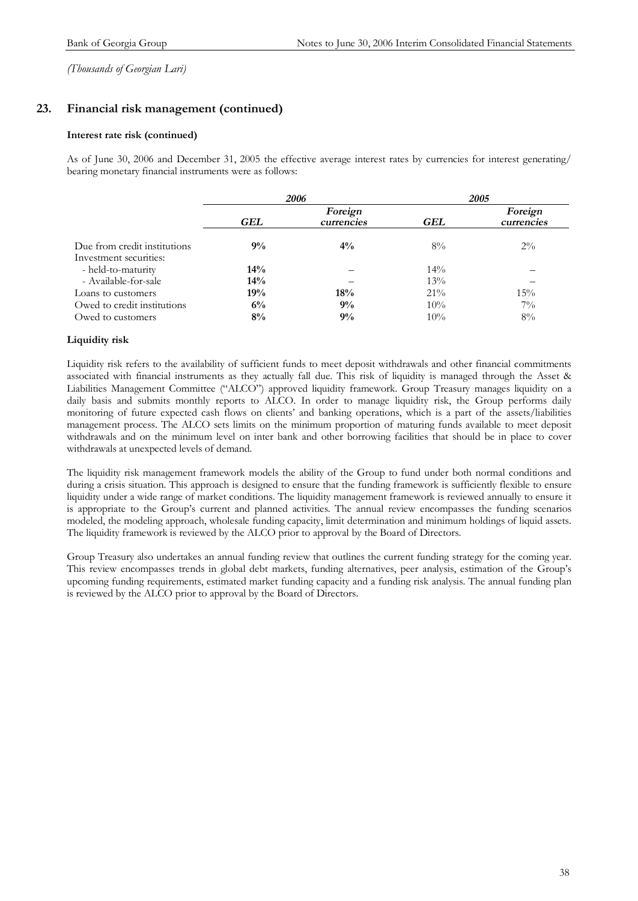### **23. Financial risk management (continued)**

#### **Interest rate risk (continued)**

As of June 30, 2006 and December 31, 2005 the effective average interest rates by currencies for interest generating/ bearing monetary financial instruments were as follows:

|                                                        |     | 2006                  | 2005   |                       |  |  |
|--------------------------------------------------------|-----|-----------------------|--------|-----------------------|--|--|
|                                                        | GEL | Foreign<br>currencies | GEL    | Foreign<br>currencies |  |  |
| Due from credit institutions<br>Investment securities: | 9%  | $4\%$                 | $8\%$  | $2\%$                 |  |  |
| - held-to-maturity                                     | 14% |                       | $14\%$ |                       |  |  |
| - Available-for-sale                                   | 14% |                       | 13%    |                       |  |  |
| Loans to customers                                     | 19% | 18%                   | $21\%$ | 15%                   |  |  |
| Owed to credit institutions                            | 6%  | 9%                    | 10%    | $7\%$                 |  |  |
| Owed to customers                                      | 8%  | 9%                    | 10%    | $8\%$                 |  |  |

#### **Liquidity risk**

Liquidity risk refers to the availability of sufficient funds to meet deposit withdrawals and other financial commitments associated with financial instruments as they actually fall due. This risk of liquidity is managed through the Asset & Liabilities Management Committee ("ALCO") approved liquidity framework. Group Treasury manages liquidity on a daily basis and submits monthly reports to ALCO. In order to manage liquidity risk, the Group performs daily monitoring of future expected cash flows on clients' and banking operations, which is a part of the assets/liabilities management process. The ALCO sets limits on the minimum proportion of maturing funds available to meet deposit withdrawals and on the minimum level on inter bank and other borrowing facilities that should be in place to cover withdrawals at unexpected levels of demand.

The liquidity risk management framework models the ability of the Group to fund under both normal conditions and during a crisis situation. This approach is designed to ensure that the funding framework is sufficiently flexible to ensure liquidity under a wide range of market conditions. The liquidity management framework is reviewed annually to ensure it is appropriate to the Group's current and planned activities. The annual review encompasses the funding scenarios modeled, the modeling approach, wholesale funding capacity, limit determination and minimum holdings of liquid assets. The liquidity framework is reviewed by the ALCO prior to approval by the Board of Directors.

Group Treasury also undertakes an annual funding review that outlines the current funding strategy for the coming year. This review encompasses trends in global debt markets, funding alternatives, peer analysis, estimation of the Group's upcoming funding requirements, estimated market funding capacity and a funding risk analysis. The annual funding plan is reviewed by the ALCO prior to approval by the Board of Directors.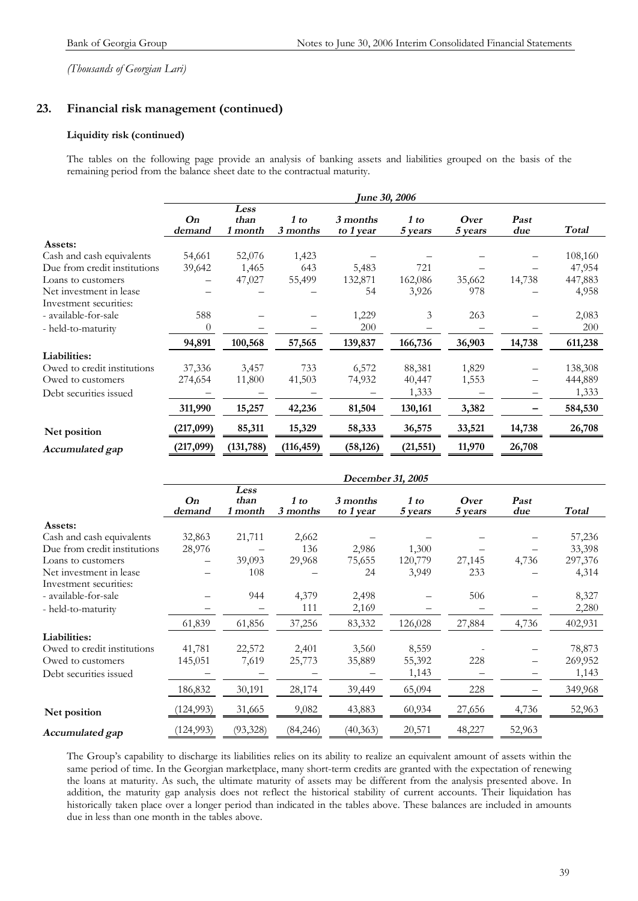### **23. Financial risk management (continued)**

#### **Liquidity risk (continued)**

The tables on the following page provide an analysis of banking assets and liabilities grouped on the basis of the remaining period from the balance sheet date to the contractual maturity.

|                              | <b>June 30, 2006</b> |                         |                  |                       |                 |                 |             |              |
|------------------------------|----------------------|-------------------------|------------------|-----------------------|-----------------|-----------------|-------------|--------------|
|                              | On<br>demand         | Less<br>than<br>1 month | 1 to<br>3 months | 3 months<br>to 1 year | 1 to<br>5 years | Over<br>5 years | Past<br>due | <b>Total</b> |
| Assets:                      |                      |                         |                  |                       |                 |                 |             |              |
| Cash and cash equivalents    | 54,661               | 52,076                  | 1,423            |                       |                 |                 |             | 108,160      |
| Due from credit institutions | 39,642               | 1,465                   | 643              | 5,483                 | 721             |                 |             | 47,954       |
| Loans to customers           |                      | 47,027                  | 55,499           | 132,871               | 162,086         | 35,662          | 14,738      | 447,883      |
| Net investment in lease      |                      |                         |                  | 54                    | 3,926           | 978             |             | 4,958        |
| Investment securities:       |                      |                         |                  |                       |                 |                 |             |              |
| - available-for-sale         | 588                  |                         |                  | 1,229                 | 3               | 263             |             | 2,083        |
| - held-to-maturity           | $\theta$             |                         | -                | 200                   |                 |                 |             | <b>200</b>   |
|                              | 94,891               | 100,568                 | 57,565           | 139,837               | 166,736         | 36,903          | 14,738      | 611,238      |
| Liabilities:                 |                      |                         |                  |                       |                 |                 |             |              |
| Owed to credit institutions  | 37,336               | 3,457                   | 733              | 6,572                 | 88,381          | 1,829           |             | 138,308      |
| Owed to customers            | 274,654              | 11,800                  | 41,503           | 74,932                | 40,447          | 1,553           |             | 444,889      |
| Debt securities issued       |                      |                         |                  |                       | 1,333           |                 | —           | 1,333        |
|                              | 311,990              | 15,257                  | 42,236           | 81,504                | 130,161         | 3,382           |             | 584,530      |
| Net position                 | (217,099)            | 85,311                  | 15,329           | 58,333                | 36,575          | 33,521          | 14,738      | 26,708       |
| Accumulated gap              | (217,099)            | (131, 788)              | (116, 459)       | (58, 126)             | (21, 551)       | 11,970          | 26,708      |              |

|                              | December 31, 2005 |                         |                  |                       |                 |                 |             |         |
|------------------------------|-------------------|-------------------------|------------------|-----------------------|-----------------|-----------------|-------------|---------|
|                              | On<br>demand      | Less<br>than<br>1 month | 1 to<br>3 months | 3 months<br>to 1 year | 1 to<br>5 years | Over<br>5 years | Past<br>due | Total   |
| Assets:                      |                   |                         |                  |                       |                 |                 |             |         |
| Cash and cash equivalents    | 32,863            | 21,711                  | 2,662            |                       |                 |                 |             | 57,236  |
| Due from credit institutions | 28,976            |                         | 136              | 2,986                 | 1,300           |                 |             | 33,398  |
| Loans to customers           |                   | 39,093                  | 29,968           | 75,655                | 120,779         | 27,145          | 4,736       | 297,376 |
| Net investment in lease      |                   | 108                     |                  | 24                    | 3,949           | 233             |             | 4,314   |
| Investment securities:       |                   |                         |                  |                       |                 |                 |             |         |
| - available-for-sale         |                   | 944                     | 4,379            | 2,498                 |                 | 506             |             | 8,327   |
| - held-to-maturity           |                   |                         | 111              | 2,169                 |                 |                 |             | 2,280   |
|                              | 61,839            | 61,856                  | 37,256           | 83,332                | 126,028         | 27,884          | 4,736       | 402,931 |
| Liabilities:                 |                   |                         |                  |                       |                 |                 |             |         |
| Owed to credit institutions  | 41,781            | 22,572                  | 2,401            | 3,560                 | 8,559           |                 |             | 78,873  |
| Owed to customers            | 145,051           | 7,619                   | 25,773           | 35,889                | 55,392          | 228             |             | 269,952 |
| Debt securities issued       |                   |                         |                  |                       | 1,143           |                 | -           | 1,143   |
|                              | 186,832           | 30,191                  | 28,174           | 39,449                | 65,094          | 228             |             | 349,968 |
| Net position                 | (124, 993)        | 31,665                  | 9,082            | 43,883                | 60,934          | 27,656          | 4,736       | 52,963  |
| Accumulated gap              | (124, 993)        | (93, 328)               | (84,246)         | (40, 363)             | 20,571          | 48,227          | 52,963      |         |

The Group's capability to discharge its liabilities relies on its ability to realize an equivalent amount of assets within the same period of time. In the Georgian marketplace, many short-term credits are granted with the expectation of renewing the loans at maturity. As such, the ultimate maturity of assets may be different from the analysis presented above. In addition, the maturity gap analysis does not reflect the historical stability of current accounts. Their liquidation has historically taken place over a longer period than indicated in the tables above. These balances are included in amounts due in less than one month in the tables above.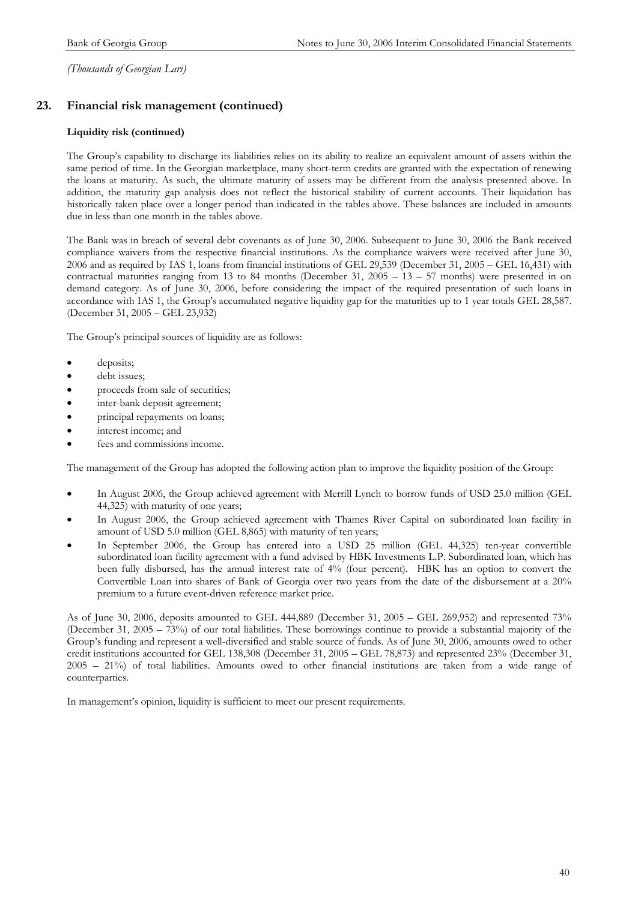### **23. Financial risk management (continued)**

#### **Liquidity risk (continued)**

The Group's capability to discharge its liabilities relies on its ability to realize an equivalent amount of assets within the same period of time. In the Georgian marketplace, many short-term credits are granted with the expectation of renewing the loans at maturity. As such, the ultimate maturity of assets may be different from the analysis presented above. In addition, the maturity gap analysis does not reflect the historical stability of current accounts. Their liquidation has historically taken place over a longer period than indicated in the tables above. These balances are included in amounts due in less than one month in the tables above.

The Bank was in breach of several debt covenants as of June 30, 2006. Subsequent to June 30, 2006 the Bank received compliance waivers from the respective financial institutions. As the compliance waivers were received after June 30, 2006 and as required by IAS 1, loans from financial institutions of GEL 29,539 (December 31, 2005 – GEL 16,431) with contractual maturities ranging from 13 to 84 months (December 31, 2005 – 13 – 57 months) were presented in on demand category. As of June 30, 2006, before considering the impact of the required presentation of such loans in accordance with IAS 1, the Group's accumulated negative liquidity gap for the maturities up to 1 year totals GEL 28,587. (December 31, 2005 – GEL 23,932)

The Group's principal sources of liquidity are as follows:

- deposits;
- debt issues;
- proceeds from sale of securities;
- inter-bank deposit agreement;
- principal repayments on loans;
- interest income; and
- fees and commissions income.

The management of the Group has adopted the following action plan to improve the liquidity position of the Group:

- In August 2006, the Group achieved agreement with Merrill Lynch to borrow funds of USD 25.0 million (GEL 44,325) with maturity of one years;
- In August 2006, the Group achieved agreement with Thames River Capital on subordinated loan facility in amount of USD 5.0 million (GEL 8,865) with maturity of ten years;
- In September 2006, the Group has entered into a USD 25 million (GEL 44,325) ten-year convertible subordinated loan facility agreement with a fund advised by HBK Investments L.P. Subordinated loan, which has been fully disbursed, has the annual interest rate of 4% (four percent). HBK has an option to convert the Convertible Loan into shares of Bank of Georgia over two years from the date of the disbursement at a 20% premium to a future event-driven reference market price.

As of June 30, 2006, deposits amounted to GEL 444,889 (December 31, 2005 – GEL 269,952) and represented 73% (December 31, 2005 – 73%) of our total liabilities. These borrowings continue to provide a substantial majority of the Group's funding and represent a well-diversified and stable source of funds. As of June 30, 2006, amounts owed to other credit institutions accounted for GEL 138,308 (December 31, 2005 – GEL 78,873) and represented 23% (December 31, 2005 – 21%) of total liabilities. Amounts owed to other financial institutions are taken from a wide range of counterparties.

In management's opinion, liquidity is sufficient to meet our present requirements.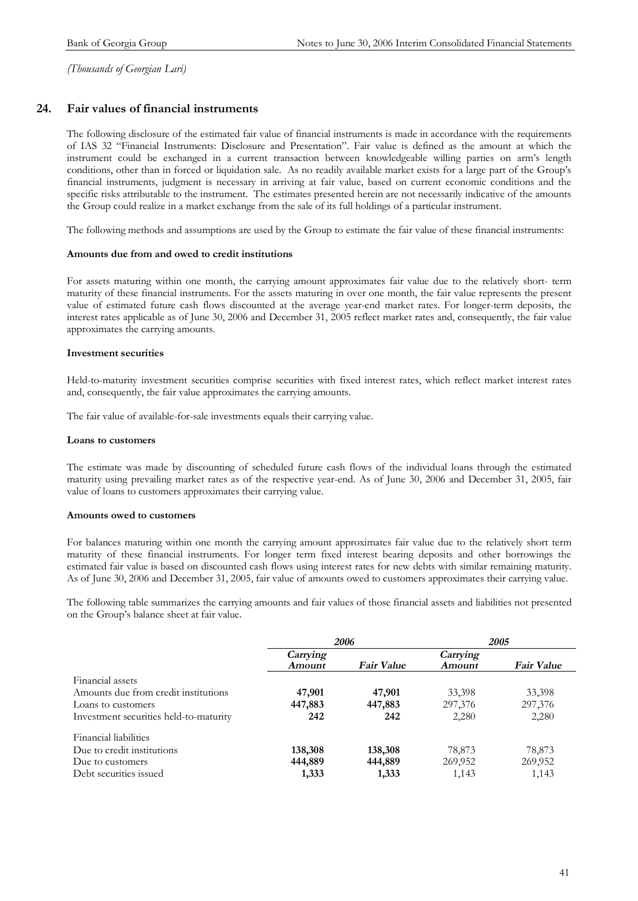### **24. Fair values of financial instruments**

The following disclosure of the estimated fair value of financial instruments is made in accordance with the requirements of IAS 32 "Financial Instruments: Disclosure and Presentation". Fair value is defined as the amount at which the instrument could be exchanged in a current transaction between knowledgeable willing parties on arm's length conditions, other than in forced or liquidation sale. As no readily available market exists for a large part of the Group's financial instruments, judgment is necessary in arriving at fair value, based on current economic conditions and the specific risks attributable to the instrument. The estimates presented herein are not necessarily indicative of the amounts the Group could realize in a market exchange from the sale of its full holdings of a particular instrument.

The following methods and assumptions are used by the Group to estimate the fair value of these financial instruments:

#### **Amounts due from and owed to credit institutions**

For assets maturing within one month, the carrying amount approximates fair value due to the relatively short- term maturity of these financial instruments. For the assets maturing in over one month, the fair value represents the present value of estimated future cash flows discounted at the average year-end market rates. For longer-term deposits, the interest rates applicable as of June 30, 2006 and December 31, 2005 reflect market rates and, consequently, the fair value approximates the carrying amounts.

#### **Investment securities**

Held-to-maturity investment securities comprise securities with fixed interest rates, which reflect market interest rates and, consequently, the fair value approximates the carrying amounts.

The fair value of available-for-sale investments equals their carrying value.

#### **Loans to customers**

The estimate was made by discounting of scheduled future cash flows of the individual loans through the estimated maturity using prevailing market rates as of the respective year-end. As of June 30, 2006 and December 31, 2005, fair value of loans to customers approximates their carrying value.

#### **Amounts owed to customers**

For balances maturing within one month the carrying amount approximates fair value due to the relatively short term maturity of these financial instruments. For longer term fixed interest bearing deposits and other borrowings the estimated fair value is based on discounted cash flows using interest rates for new debts with similar remaining maturity. As of June 30, 2006 and December 31, 2005, fair value of amounts owed to customers approximates their carrying value.

The following table summarizes the carrying amounts and fair values of those financial assets and liabilities not presented on the Group's balance sheet at fair value.

|                                        |          | 2006              | 2005     |                   |  |
|----------------------------------------|----------|-------------------|----------|-------------------|--|
|                                        | Carrying |                   | Carrying |                   |  |
|                                        | Amount   | <b>Fair Value</b> | Amount   | <b>Fair Value</b> |  |
| Financial assets                       |          |                   |          |                   |  |
| Amounts due from credit institutions   | 47,901   | 47,901            | 33,398   | 33,398            |  |
| Loans to customers                     | 447,883  | 447,883           | 297,376  | 297,376           |  |
| Investment securities held-to-maturity | 242      | 242               | 2,280    | 2,280             |  |
| Financial liabilities                  |          |                   |          |                   |  |
| Due to credit institutions             | 138,308  | 138,308           | 78,873   | 78,873            |  |
| Due to customers                       | 444,889  | 444,889           | 269,952  | 269,952           |  |
| Debt securities issued                 | 1,333    | 1,333             | 1,143    | 1,143             |  |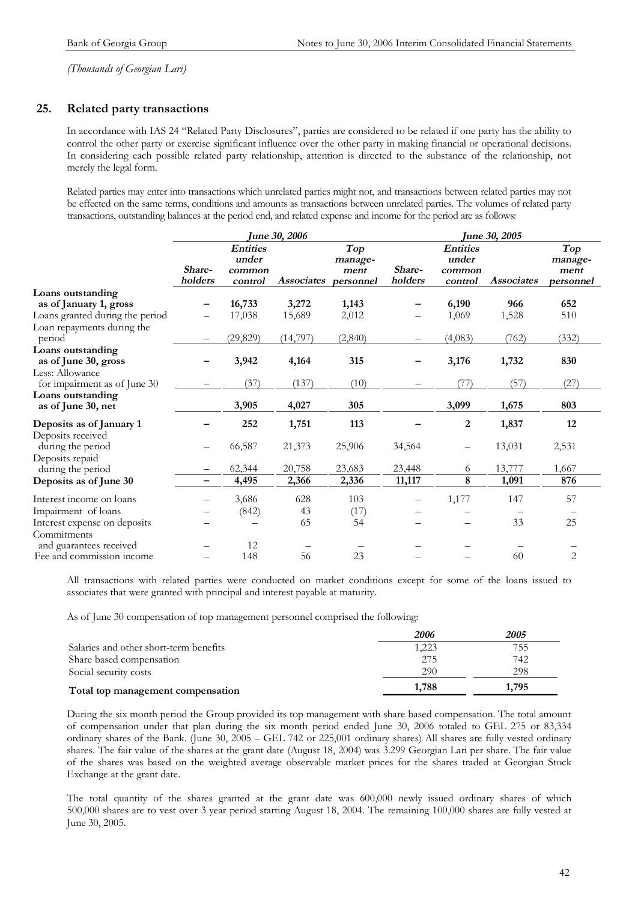### **25. Related party transactions**

In accordance with IAS 24 "Related Party Disclosures", parties are considered to be related if one party has the ability to control the other party or exercise significant influence over the other party in making financial or operational decisions. In considering each possible related party relationship, attention is directed to the substance of the relationship, not merely the legal form.

Related parties may enter into transactions which unrelated parties might not, and transactions between related parties may not be effected on the same terms, conditions and amounts as transactions between unrelated parties. The volumes of related party transactions, outstanding balances at the period end, and related expense and income for the period are as follows:

|                                 | <b>June 30, 2006</b>     |                 |                   |            | <b>June 30, 2005</b> |                  |                   |                |  |
|---------------------------------|--------------------------|-----------------|-------------------|------------|----------------------|------------------|-------------------|----------------|--|
|                                 |                          | <b>Entities</b> |                   | <b>Top</b> |                      | <b>Entities</b>  |                   | Top            |  |
|                                 |                          | under           |                   | manage-    |                      | under            |                   | manage-        |  |
|                                 | Share-                   | common          |                   | ment       | Share-               | common           |                   | ment           |  |
|                                 | holders                  | control         | <b>Associates</b> | personnel  | holders              | control          | <b>Associates</b> | personnel      |  |
| Loans outstanding               |                          |                 |                   |            |                      |                  |                   |                |  |
| as of January 1, gross          |                          | 16,733          | 3,272             | 1,143      |                      | 6,190            | 966               | 652            |  |
| Loans granted during the period |                          | 17,038          | 15,689            | 2,012      |                      | 1,069            | 1,528             | 510            |  |
| Loan repayments during the      |                          |                 |                   |            |                      |                  |                   |                |  |
| period                          | $\overline{\phantom{m}}$ | (29, 829)       | (14, 797)         | (2, 840)   |                      | (4,083)          | (762)             | (332)          |  |
| Loans outstanding               |                          |                 |                   |            |                      |                  |                   |                |  |
| as of June 30, gross            |                          | 3,942           | 4,164             | 315        |                      | 3,176            | 1,732             | 830            |  |
| Less: Allowance                 |                          |                 |                   |            |                      |                  |                   |                |  |
| for impairment as of June 30    |                          | (37)            | (137)             | (10)       |                      | (77)             | (57)              | (27)           |  |
| Loans outstanding               |                          |                 |                   |            |                      |                  |                   |                |  |
| as of June 30, net              |                          | 3,905           | 4,027             | 305        |                      | 3,099            | 1,675             | 803            |  |
| Deposits as of January 1        |                          | 252             | 1,751             | 113        |                      | $\boldsymbol{2}$ | 1,837             | 12             |  |
| Deposits received               |                          |                 |                   |            |                      |                  |                   |                |  |
| during the period               |                          | 66,587          | 21,373            | 25,906     | 34,564               |                  | 13,031            | 2,531          |  |
| Deposits repaid                 |                          |                 |                   |            |                      |                  |                   |                |  |
| during the period               |                          | 62,344          | 20,758            | 23,683     | 23,448               | 6                | 13,777            | 1,667          |  |
| Deposits as of June 30          | -                        | 4,495           | 2,366             | 2,336      | 11,117               | 8                | 1,091             | 876            |  |
| Interest income on loans        |                          | 3,686           | 628               | 103        |                      | 1,177            | 147               | 57             |  |
| Impairment of loans             |                          | (842)           | 43                | (17)       |                      |                  |                   |                |  |
| Interest expense on deposits    |                          |                 | 65                | 54         |                      |                  | 33                | 25             |  |
| Commitments                     |                          |                 |                   |            |                      |                  |                   |                |  |
| and guarantees received         |                          | 12              |                   |            |                      |                  |                   |                |  |
| Fee and commission income       |                          | 148             | 56                | 23         |                      |                  | 60                | $\overline{2}$ |  |

All transactions with related parties were conducted on market conditions except for some of the loans issued to associates that were granted with principal and interest payable at maturity.

As of June 30 compensation of top management personnel comprised the following:

|                                        | 2006  | 2005  |
|----------------------------------------|-------|-------|
| Salaries and other short-term benefits | 1.223 | 755   |
| Share based compensation               | 275   | 742   |
| Social security costs                  | 290   | 298   |
| Total top management compensation      | 1,788 | 1.795 |

During the six month period the Group provided its top management with share based compensation. The total amount of compensation under that plan during the six month period ended June 30, 2006 totaled to GEL 275 or 83,334 ordinary shares of the Bank. (June 30, 2005 – GEL 742 or 225,001 ordinary shares) All shares are fully vested ordinary shares. The fair value of the shares at the grant date (August 18, 2004) was 3.299 Georgian Lari per share. The fair value of the shares was based on the weighted average observable market prices for the shares traded at Georgian Stock Exchange at the grant date.

The total quantity of the shares granted at the grant date was 600,000 newly issued ordinary shares of which 500,000 shares are to vest over 3 year period starting August 18, 2004. The remaining 100,000 shares are fully vested at June 30, 2005.